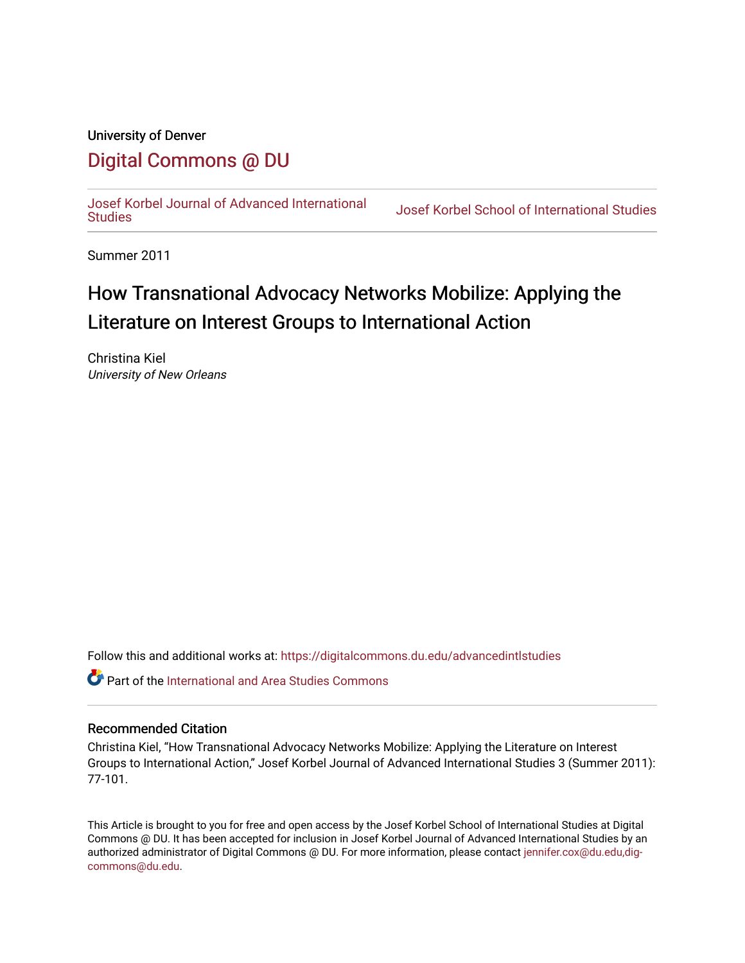# University of Denver [Digital Commons @ DU](https://digitalcommons.du.edu/)

[Josef Korbel Journal of Advanced International](https://digitalcommons.du.edu/advancedintlstudies) 

Josef Korbel School of International Studies

Summer 2011

# How Transnational Advocacy Networks Mobilize: Applying the Literature on Interest Groups to International Action

Christina Kiel University of New Orleans

Follow this and additional works at: [https://digitalcommons.du.edu/advancedintlstudies](https://digitalcommons.du.edu/advancedintlstudies?utm_source=digitalcommons.du.edu%2Fadvancedintlstudies%2F14&utm_medium=PDF&utm_campaign=PDFCoverPages)

**C** Part of the International and Area Studies Commons

# Recommended Citation

Christina Kiel, "How Transnational Advocacy Networks Mobilize: Applying the Literature on Interest Groups to International Action," Josef Korbel Journal of Advanced International Studies 3 (Summer 2011): 77-101.

This Article is brought to you for free and open access by the Josef Korbel School of International Studies at Digital Commons @ DU. It has been accepted for inclusion in Josef Korbel Journal of Advanced International Studies by an authorized administrator of Digital Commons @ DU. For more information, please contact [jennifer.cox@du.edu,dig](mailto:jennifer.cox@du.edu,dig-commons@du.edu)[commons@du.edu.](mailto:jennifer.cox@du.edu,dig-commons@du.edu)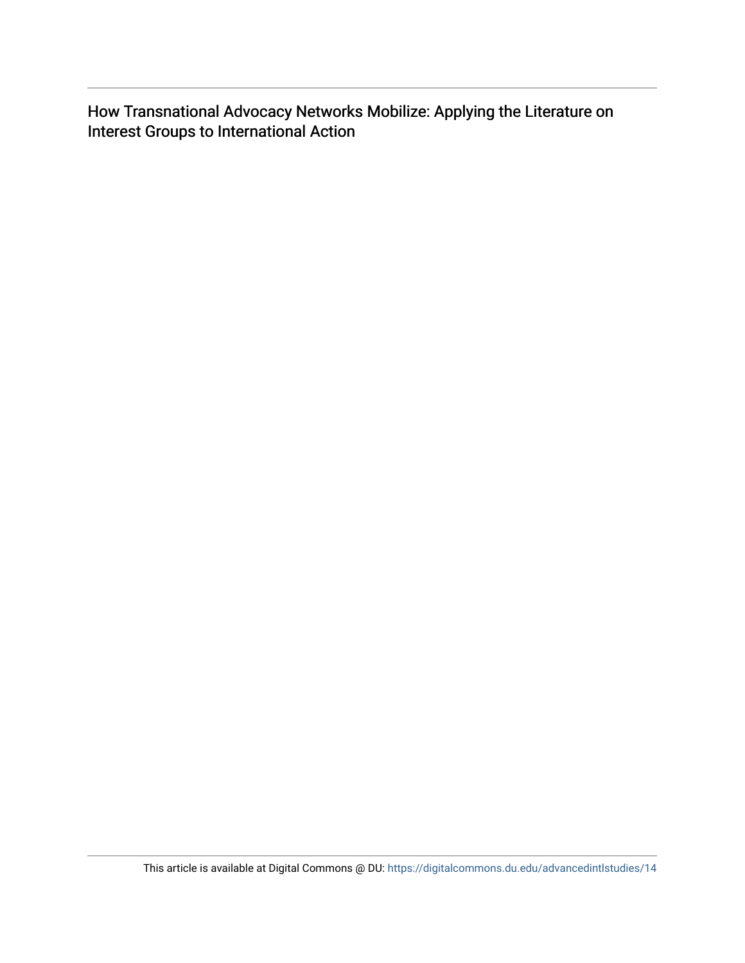How Transnational Advocacy Networks Mobilize: Applying the Literature on Interest Groups to International Action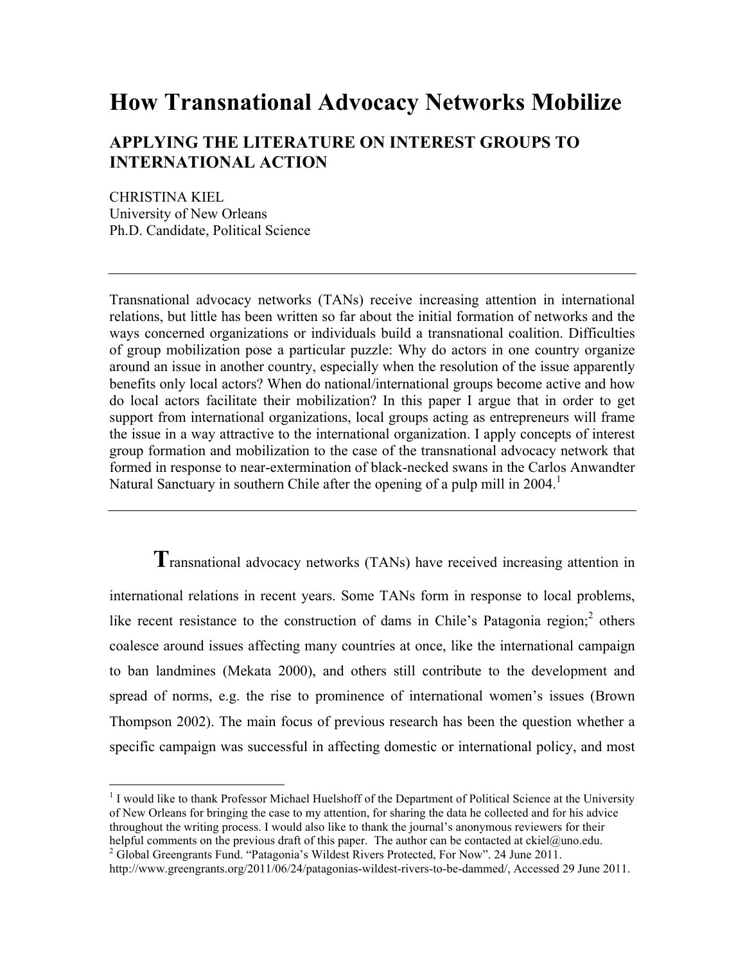# **How Transnational Advocacy Networks Mobilize**

# **APPLYING THE LITERATURE ON INTEREST GROUPS TO INTERNATIONAL ACTION**

CHRISTINA KIEL University of New Orleans Ph.D. Candidate, Political Science

<u> 1989 - Johann Stein, fransk politik (d. 1989)</u>

Transnational advocacy networks (TANs) receive increasing attention in international relations, but little has been written so far about the initial formation of networks and the ways concerned organizations or individuals build a transnational coalition. Difficulties of group mobilization pose a particular puzzle: Why do actors in one country organize around an issue in another country, especially when the resolution of the issue apparently benefits only local actors? When do national/international groups become active and how do local actors facilitate their mobilization? In this paper I argue that in order to get support from international organizations, local groups acting as entrepreneurs will frame the issue in a way attractive to the international organization. I apply concepts of interest group formation and mobilization to the case of the transnational advocacy network that formed in response to near-extermination of black-necked swans in the Carlos Anwandter Natural Sanctuary in southern Chile after the opening of a pulp mill in 2004.<sup>1</sup>

**T**ransnational advocacy networks (TANs) have received increasing attention in international relations in recent years. Some TANs form in response to local problems, like recent resistance to the construction of dams in Chile's Patagonia region;<sup>2</sup> others coalesce around issues affecting many countries at once, like the international campaign to ban landmines (Mekata 2000), and others still contribute to the development and spread of norms, e.g. the rise to prominence of international women's issues (Brown Thompson 2002). The main focus of previous research has been the question whether a specific campaign was successful in affecting domestic or international policy, and most

<sup>&</sup>lt;sup>1</sup> I would like to thank Professor Michael Huelshoff of the Department of Political Science at the University of New Orleans for bringing the case to my attention, for sharing the data he collected and for his advice throughout the writing process. I would also like to thank the journal's anonymous reviewers for their helpful comments on the previous draft of this paper. The author can be contacted at ckiel@uno.edu.

<sup>&</sup>lt;sup>2</sup> Global Greengrants Fund. "Patagonia's Wildest Rivers Protected, For Now". 24 June 2011. http://www.greengrants.org/2011/06/24/patagonias-wildest-rivers-to-be-dammed/, Accessed 29 June 2011.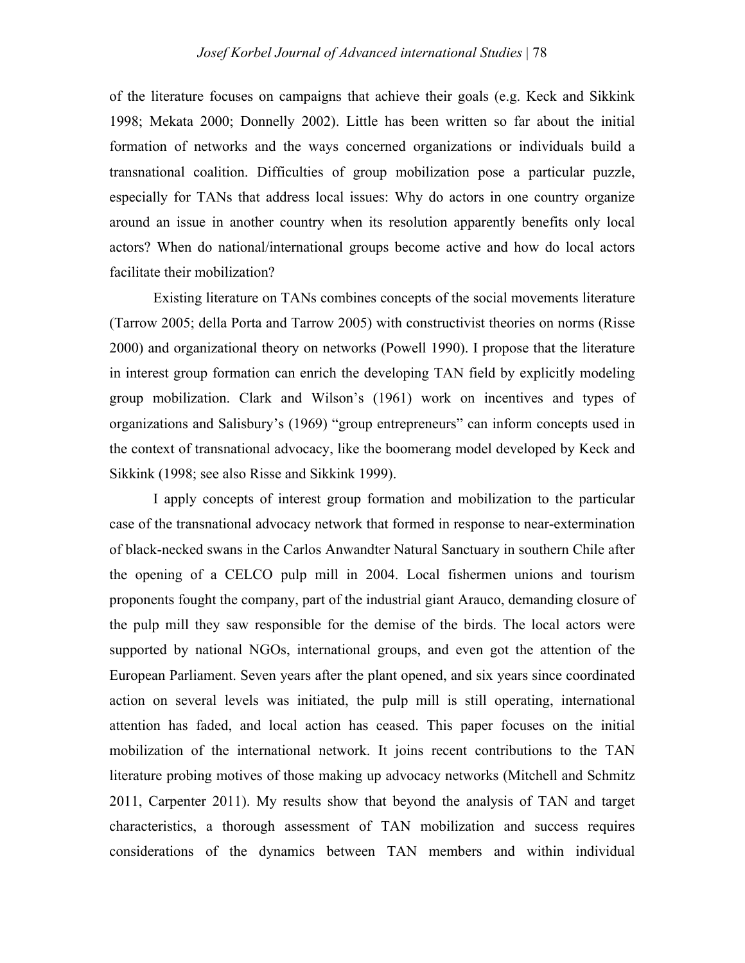of the literature focuses on campaigns that achieve their goals (e.g. Keck and Sikkink 1998; Mekata 2000; Donnelly 2002). Little has been written so far about the initial formation of networks and the ways concerned organizations or individuals build a transnational coalition. Difficulties of group mobilization pose a particular puzzle, especially for TANs that address local issues: Why do actors in one country organize around an issue in another country when its resolution apparently benefits only local actors? When do national/international groups become active and how do local actors facilitate their mobilization?

Existing literature on TANs combines concepts of the social movements literature (Tarrow 2005; della Porta and Tarrow 2005) with constructivist theories on norms (Risse 2000) and organizational theory on networks (Powell 1990). I propose that the literature in interest group formation can enrich the developing TAN field by explicitly modeling group mobilization. Clark and Wilson's (1961) work on incentives and types of organizations and Salisbury's (1969) "group entrepreneurs" can inform concepts used in the context of transnational advocacy, like the boomerang model developed by Keck and Sikkink (1998; see also Risse and Sikkink 1999).

I apply concepts of interest group formation and mobilization to the particular case of the transnational advocacy network that formed in response to near-extermination of black-necked swans in the Carlos Anwandter Natural Sanctuary in southern Chile after the opening of a CELCO pulp mill in 2004. Local fishermen unions and tourism proponents fought the company, part of the industrial giant Arauco, demanding closure of the pulp mill they saw responsible for the demise of the birds. The local actors were supported by national NGOs, international groups, and even got the attention of the European Parliament. Seven years after the plant opened, and six years since coordinated action on several levels was initiated, the pulp mill is still operating, international attention has faded, and local action has ceased. This paper focuses on the initial mobilization of the international network. It joins recent contributions to the TAN literature probing motives of those making up advocacy networks (Mitchell and Schmitz 2011, Carpenter 2011). My results show that beyond the analysis of TAN and target characteristics, a thorough assessment of TAN mobilization and success requires considerations of the dynamics between TAN members and within individual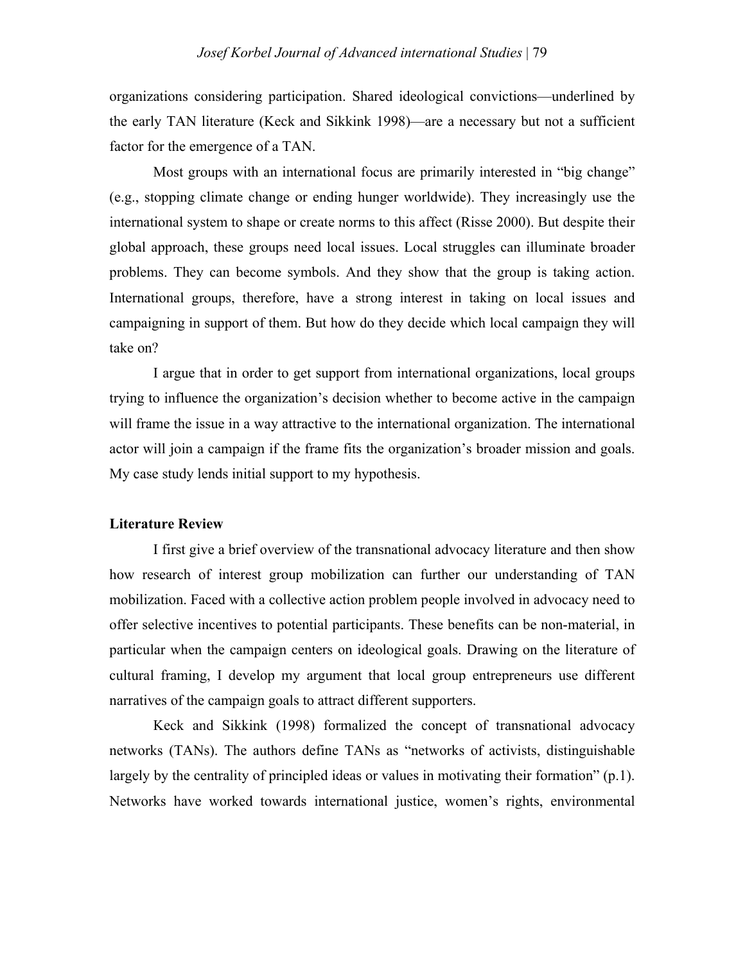organizations considering participation. Shared ideological convictions—underlined by the early TAN literature (Keck and Sikkink 1998)—are a necessary but not a sufficient factor for the emergence of a TAN.

Most groups with an international focus are primarily interested in "big change" (e.g., stopping climate change or ending hunger worldwide). They increasingly use the international system to shape or create norms to this affect (Risse 2000). But despite their global approach, these groups need local issues. Local struggles can illuminate broader problems. They can become symbols. And they show that the group is taking action. International groups, therefore, have a strong interest in taking on local issues and campaigning in support of them. But how do they decide which local campaign they will take on?

I argue that in order to get support from international organizations, local groups trying to influence the organization's decision whether to become active in the campaign will frame the issue in a way attractive to the international organization. The international actor will join a campaign if the frame fits the organization's broader mission and goals. My case study lends initial support to my hypothesis.

## **Literature Review**

I first give a brief overview of the transnational advocacy literature and then show how research of interest group mobilization can further our understanding of TAN mobilization. Faced with a collective action problem people involved in advocacy need to offer selective incentives to potential participants. These benefits can be non-material, in particular when the campaign centers on ideological goals. Drawing on the literature of cultural framing, I develop my argument that local group entrepreneurs use different narratives of the campaign goals to attract different supporters.

Keck and Sikkink (1998) formalized the concept of transnational advocacy networks (TANs). The authors define TANs as "networks of activists, distinguishable largely by the centrality of principled ideas or values in motivating their formation" (p.1). Networks have worked towards international justice, women's rights, environmental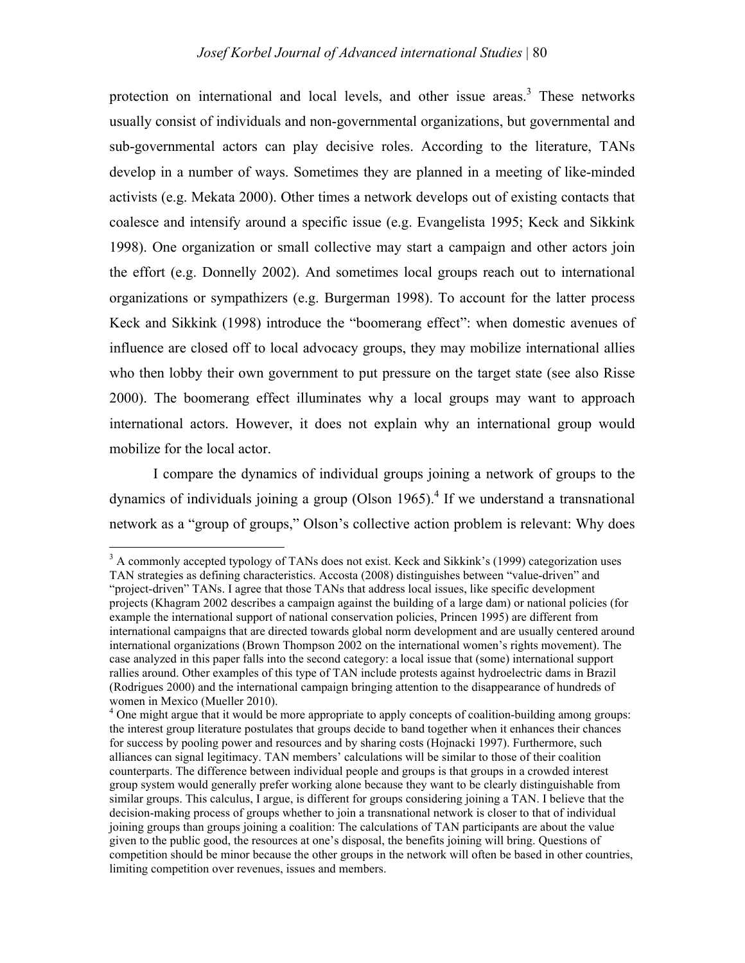protection on international and local levels, and other issue areas.<sup>3</sup> These networks usually consist of individuals and non-governmental organizations, but governmental and sub-governmental actors can play decisive roles. According to the literature, TANs develop in a number of ways. Sometimes they are planned in a meeting of like-minded activists (e.g. Mekata 2000). Other times a network develops out of existing contacts that coalesce and intensify around a specific issue (e.g. Evangelista 1995; Keck and Sikkink 1998). One organization or small collective may start a campaign and other actors join the effort (e.g. Donnelly 2002). And sometimes local groups reach out to international organizations or sympathizers (e.g. Burgerman 1998). To account for the latter process Keck and Sikkink (1998) introduce the "boomerang effect": when domestic avenues of influence are closed off to local advocacy groups, they may mobilize international allies who then lobby their own government to put pressure on the target state (see also Risse 2000). The boomerang effect illuminates why a local groups may want to approach international actors. However, it does not explain why an international group would mobilize for the local actor.

I compare the dynamics of individual groups joining a network of groups to the dynamics of individuals joining a group (Olson 1965).<sup>4</sup> If we understand a transnational network as a "group of groups," Olson's collective action problem is relevant: Why does

<sup>&</sup>lt;sup>3</sup> A commonly accepted typology of TANs does not exist. Keck and Sikkink's (1999) categorization uses TAN strategies as defining characteristics. Accosta (2008) distinguishes between "value-driven" and

<sup>&</sup>quot;project-driven" TANs. I agree that those TANs that address local issues, like specific development projects (Khagram 2002 describes a campaign against the building of a large dam) or national policies (for example the international support of national conservation policies, Princen 1995) are different from international campaigns that are directed towards global norm development and are usually centered around international organizations (Brown Thompson 2002 on the international women's rights movement). The case analyzed in this paper falls into the second category: a local issue that (some) international support rallies around. Other examples of this type of TAN include protests against hydroelectric dams in Brazil (Rodrigues 2000) and the international campaign bringing attention to the disappearance of hundreds of women in Mexico (Mueller 2010).

<sup>&</sup>lt;sup>4</sup> One might argue that it would be more appropriate to apply concepts of coalition-building among groups: the interest group literature postulates that groups decide to band together when it enhances their chances for success by pooling power and resources and by sharing costs (Hojnacki 1997). Furthermore, such alliances can signal legitimacy. TAN members' calculations will be similar to those of their coalition counterparts. The difference between individual people and groups is that groups in a crowded interest group system would generally prefer working alone because they want to be clearly distinguishable from similar groups. This calculus, I argue, is different for groups considering joining a TAN. I believe that the decision-making process of groups whether to join a transnational network is closer to that of individual joining groups than groups joining a coalition: The calculations of TAN participants are about the value given to the public good, the resources at one's disposal, the benefits joining will bring. Questions of competition should be minor because the other groups in the network will often be based in other countries, limiting competition over revenues, issues and members.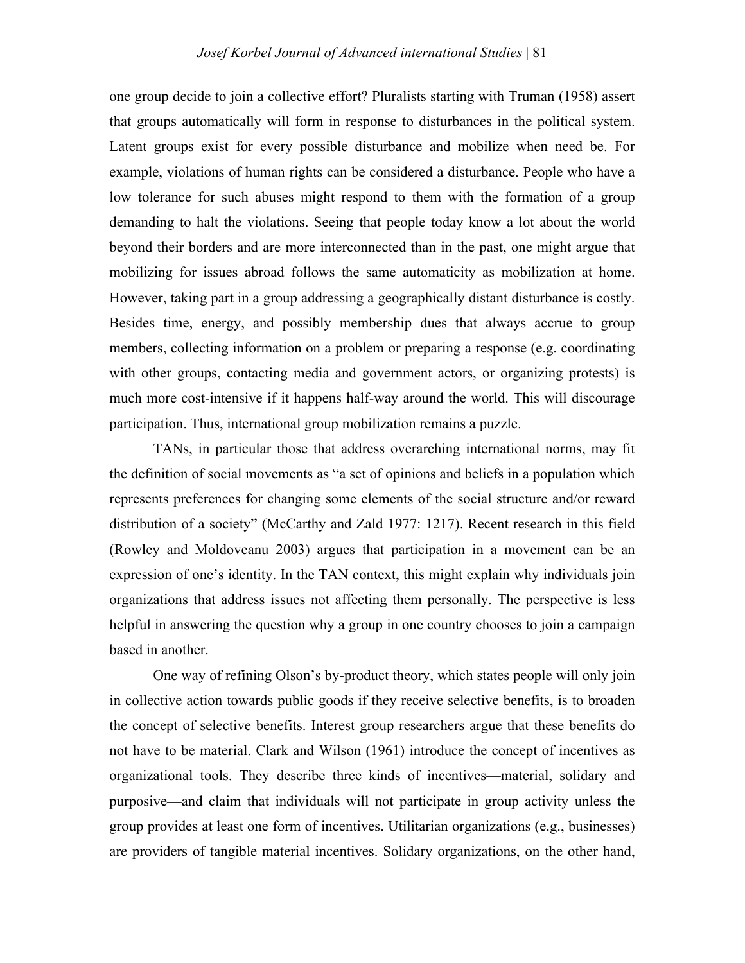one group decide to join a collective effort? Pluralists starting with Truman (1958) assert that groups automatically will form in response to disturbances in the political system. Latent groups exist for every possible disturbance and mobilize when need be. For example, violations of human rights can be considered a disturbance. People who have a low tolerance for such abuses might respond to them with the formation of a group demanding to halt the violations. Seeing that people today know a lot about the world beyond their borders and are more interconnected than in the past, one might argue that mobilizing for issues abroad follows the same automaticity as mobilization at home. However, taking part in a group addressing a geographically distant disturbance is costly. Besides time, energy, and possibly membership dues that always accrue to group members, collecting information on a problem or preparing a response (e.g. coordinating with other groups, contacting media and government actors, or organizing protests) is much more cost-intensive if it happens half-way around the world. This will discourage participation. Thus, international group mobilization remains a puzzle.

TANs, in particular those that address overarching international norms, may fit the definition of social movements as "a set of opinions and beliefs in a population which represents preferences for changing some elements of the social structure and/or reward distribution of a society" (McCarthy and Zald 1977: 1217). Recent research in this field (Rowley and Moldoveanu 2003) argues that participation in a movement can be an expression of one's identity. In the TAN context, this might explain why individuals join organizations that address issues not affecting them personally. The perspective is less helpful in answering the question why a group in one country chooses to join a campaign based in another.

One way of refining Olson's by-product theory, which states people will only join in collective action towards public goods if they receive selective benefits, is to broaden the concept of selective benefits. Interest group researchers argue that these benefits do not have to be material. Clark and Wilson (1961) introduce the concept of incentives as organizational tools. They describe three kinds of incentives—material, solidary and purposive—and claim that individuals will not participate in group activity unless the group provides at least one form of incentives. Utilitarian organizations (e.g., businesses) are providers of tangible material incentives. Solidary organizations, on the other hand,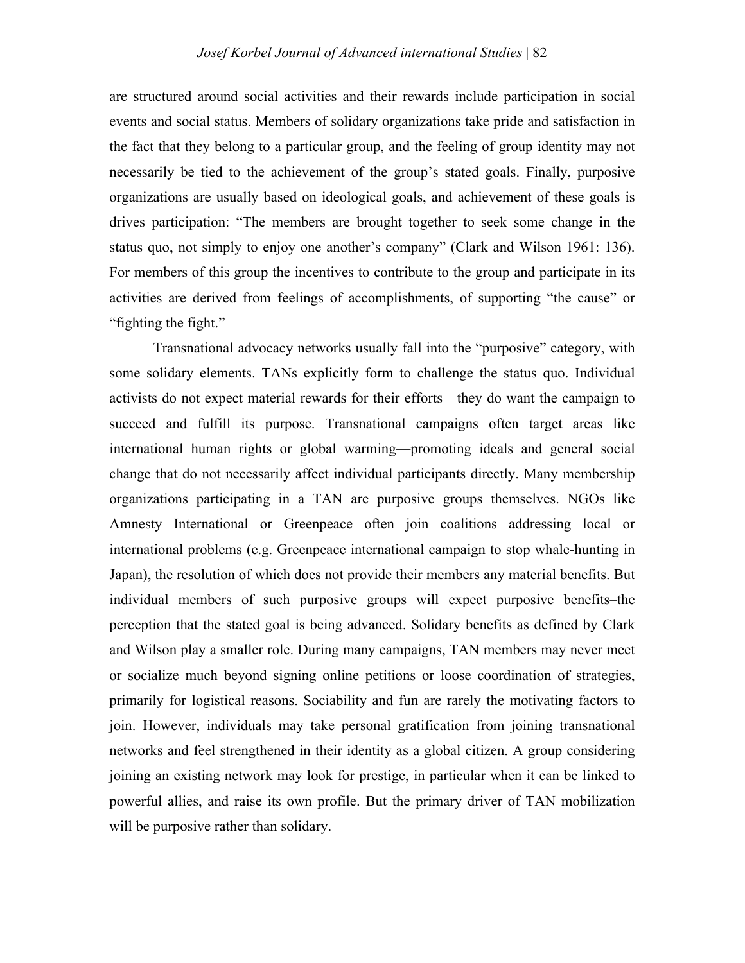are structured around social activities and their rewards include participation in social events and social status. Members of solidary organizations take pride and satisfaction in the fact that they belong to a particular group, and the feeling of group identity may not necessarily be tied to the achievement of the group's stated goals. Finally, purposive organizations are usually based on ideological goals, and achievement of these goals is drives participation: "The members are brought together to seek some change in the status quo, not simply to enjoy one another's company" (Clark and Wilson 1961: 136). For members of this group the incentives to contribute to the group and participate in its activities are derived from feelings of accomplishments, of supporting "the cause" or "fighting the fight."

Transnational advocacy networks usually fall into the "purposive" category, with some solidary elements. TANs explicitly form to challenge the status quo. Individual activists do not expect material rewards for their efforts—they do want the campaign to succeed and fulfill its purpose. Transnational campaigns often target areas like international human rights or global warming—promoting ideals and general social change that do not necessarily affect individual participants directly. Many membership organizations participating in a TAN are purposive groups themselves. NGOs like Amnesty International or Greenpeace often join coalitions addressing local or international problems (e.g. Greenpeace international campaign to stop whale-hunting in Japan), the resolution of which does not provide their members any material benefits. But individual members of such purposive groups will expect purposive benefits–the perception that the stated goal is being advanced. Solidary benefits as defined by Clark and Wilson play a smaller role. During many campaigns, TAN members may never meet or socialize much beyond signing online petitions or loose coordination of strategies, primarily for logistical reasons. Sociability and fun are rarely the motivating factors to join. However, individuals may take personal gratification from joining transnational networks and feel strengthened in their identity as a global citizen. A group considering joining an existing network may look for prestige, in particular when it can be linked to powerful allies, and raise its own profile. But the primary driver of TAN mobilization will be purposive rather than solidary.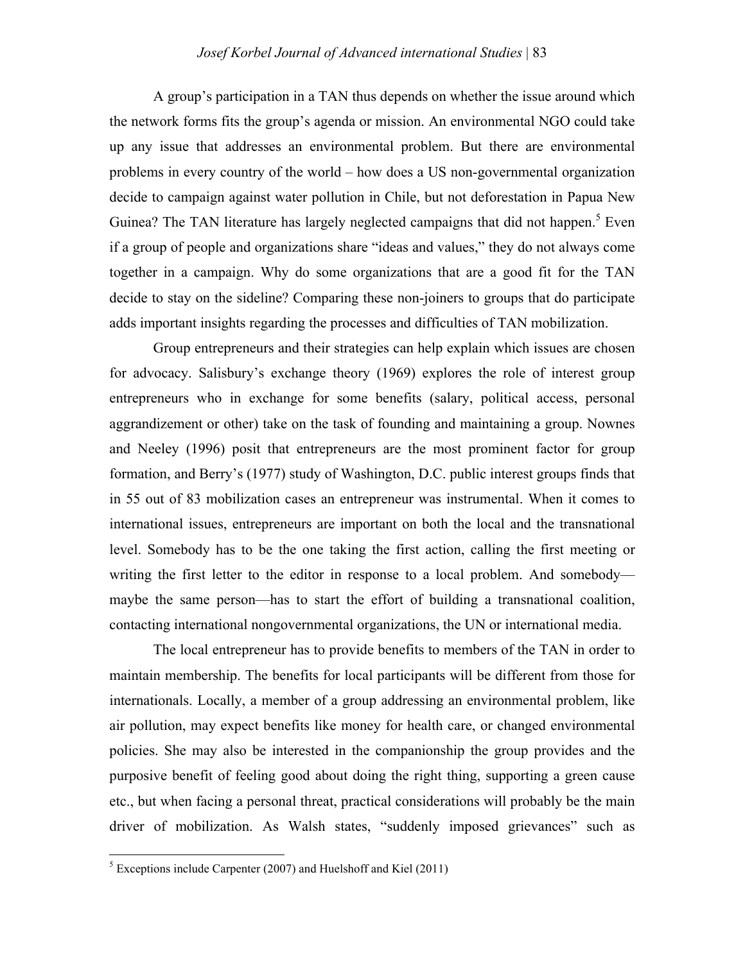## *Josef Korbel Journal of Advanced international Studies* | 83

A group's participation in a TAN thus depends on whether the issue around which the network forms fits the group's agenda or mission. An environmental NGO could take up any issue that addresses an environmental problem. But there are environmental problems in every country of the world – how does a US non-governmental organization decide to campaign against water pollution in Chile, but not deforestation in Papua New Guinea? The TAN literature has largely neglected campaigns that did not happen.<sup>5</sup> Even if a group of people and organizations share "ideas and values," they do not always come together in a campaign. Why do some organizations that are a good fit for the TAN decide to stay on the sideline? Comparing these non-joiners to groups that do participate adds important insights regarding the processes and difficulties of TAN mobilization.

Group entrepreneurs and their strategies can help explain which issues are chosen for advocacy. Salisbury's exchange theory (1969) explores the role of interest group entrepreneurs who in exchange for some benefits (salary, political access, personal aggrandizement or other) take on the task of founding and maintaining a group. Nownes and Neeley (1996) posit that entrepreneurs are the most prominent factor for group formation, and Berry's (1977) study of Washington, D.C. public interest groups finds that in 55 out of 83 mobilization cases an entrepreneur was instrumental. When it comes to international issues, entrepreneurs are important on both the local and the transnational level. Somebody has to be the one taking the first action, calling the first meeting or writing the first letter to the editor in response to a local problem. And somebody maybe the same person—has to start the effort of building a transnational coalition, contacting international nongovernmental organizations, the UN or international media.

The local entrepreneur has to provide benefits to members of the TAN in order to maintain membership. The benefits for local participants will be different from those for internationals. Locally, a member of a group addressing an environmental problem, like air pollution, may expect benefits like money for health care, or changed environmental policies. She may also be interested in the companionship the group provides and the purposive benefit of feeling good about doing the right thing, supporting a green cause etc., but when facing a personal threat, practical considerations will probably be the main driver of mobilization. As Walsh states, "suddenly imposed grievances" such as

 $<sup>5</sup>$  Exceptions include Carpenter (2007) and Huelshoff and Kiel (2011)</sup>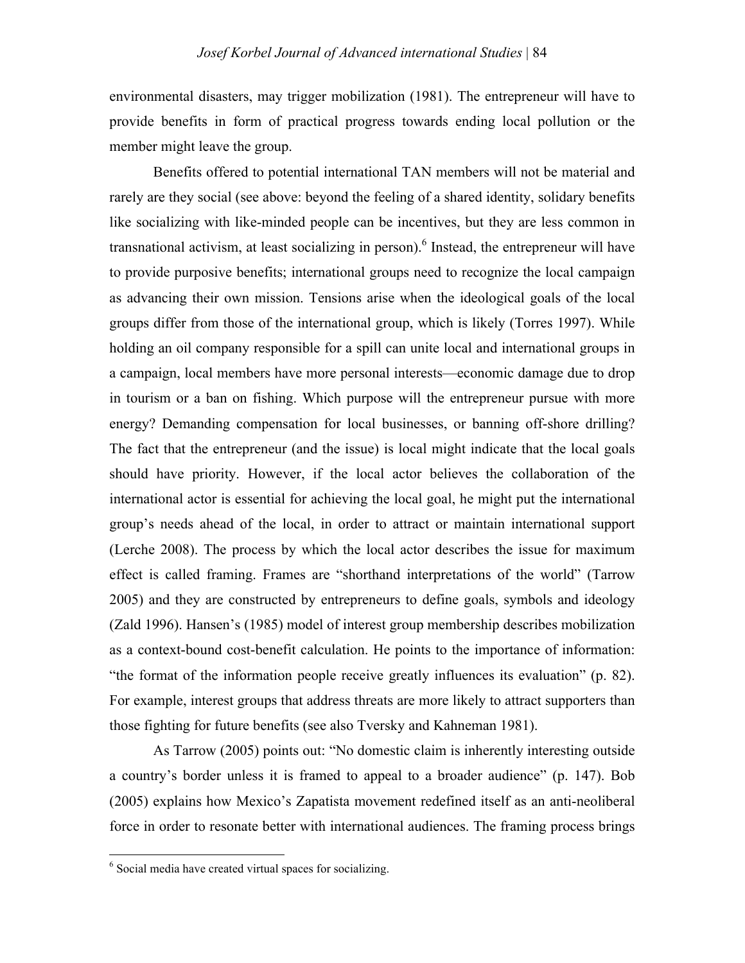environmental disasters, may trigger mobilization (1981). The entrepreneur will have to provide benefits in form of practical progress towards ending local pollution or the member might leave the group.

Benefits offered to potential international TAN members will not be material and rarely are they social (see above: beyond the feeling of a shared identity, solidary benefits like socializing with like-minded people can be incentives, but they are less common in transnational activism, at least socializing in person). 6 Instead, the entrepreneur will have to provide purposive benefits; international groups need to recognize the local campaign as advancing their own mission. Tensions arise when the ideological goals of the local groups differ from those of the international group, which is likely (Torres 1997). While holding an oil company responsible for a spill can unite local and international groups in a campaign, local members have more personal interests—economic damage due to drop in tourism or a ban on fishing. Which purpose will the entrepreneur pursue with more energy? Demanding compensation for local businesses, or banning off-shore drilling? The fact that the entrepreneur (and the issue) is local might indicate that the local goals should have priority. However, if the local actor believes the collaboration of the international actor is essential for achieving the local goal, he might put the international group's needs ahead of the local, in order to attract or maintain international support (Lerche 2008). The process by which the local actor describes the issue for maximum effect is called framing. Frames are "shorthand interpretations of the world" (Tarrow 2005) and they are constructed by entrepreneurs to define goals, symbols and ideology (Zald 1996). Hansen's (1985) model of interest group membership describes mobilization as a context-bound cost-benefit calculation. He points to the importance of information: "the format of the information people receive greatly influences its evaluation" (p. 82). For example, interest groups that address threats are more likely to attract supporters than those fighting for future benefits (see also Tversky and Kahneman 1981).

As Tarrow (2005) points out: "No domestic claim is inherently interesting outside a country's border unless it is framed to appeal to a broader audience" (p. 147). Bob (2005) explains how Mexico's Zapatista movement redefined itself as an anti-neoliberal force in order to resonate better with international audiences. The framing process brings

<sup>&</sup>lt;sup>6</sup> Social media have created virtual spaces for socializing.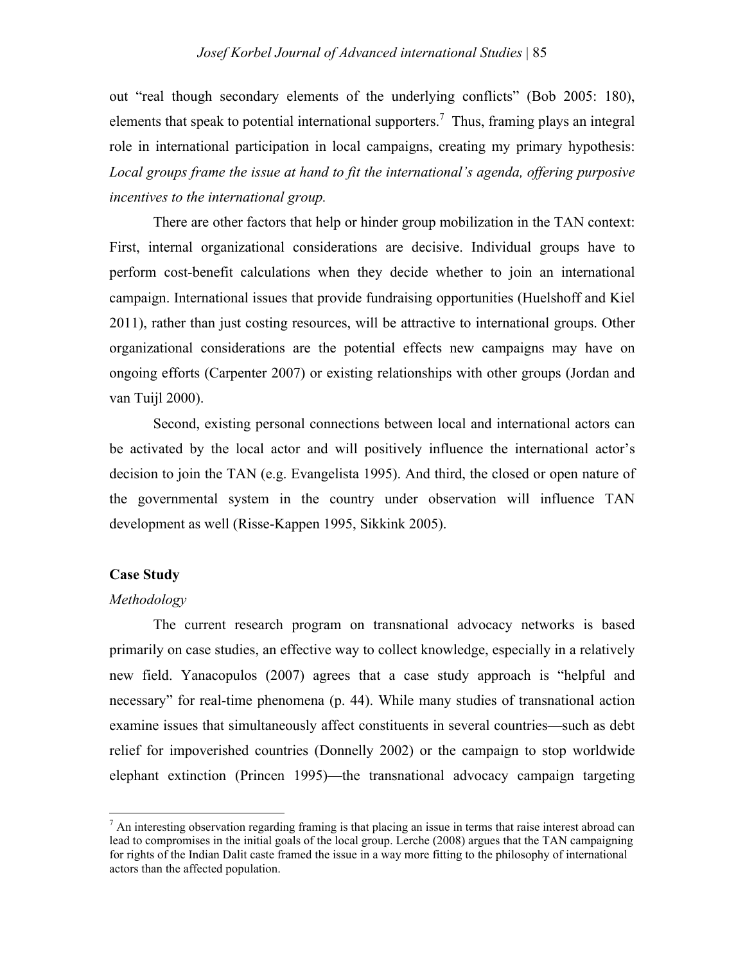out "real though secondary elements of the underlying conflicts" (Bob 2005: 180), elements that speak to potential international supporters.<sup>7</sup> Thus, framing plays an integral role in international participation in local campaigns, creating my primary hypothesis: *Local groups frame the issue at hand to fit the international's agenda, offering purposive incentives to the international group.*

There are other factors that help or hinder group mobilization in the TAN context: First, internal organizational considerations are decisive. Individual groups have to perform cost-benefit calculations when they decide whether to join an international campaign. International issues that provide fundraising opportunities (Huelshoff and Kiel 2011), rather than just costing resources, will be attractive to international groups. Other organizational considerations are the potential effects new campaigns may have on ongoing efforts (Carpenter 2007) or existing relationships with other groups (Jordan and van Tuijl 2000).

Second, existing personal connections between local and international actors can be activated by the local actor and will positively influence the international actor's decision to join the TAN (e.g. Evangelista 1995). And third, the closed or open nature of the governmental system in the country under observation will influence TAN development as well (Risse-Kappen 1995, Sikkink 2005).

#### **Case Study**

#### *Methodology*

<u> 1989 - Johann Stein, fransk politik (d. 1989)</u>

The current research program on transnational advocacy networks is based primarily on case studies, an effective way to collect knowledge, especially in a relatively new field. Yanacopulos (2007) agrees that a case study approach is "helpful and necessary" for real-time phenomena (p. 44). While many studies of transnational action examine issues that simultaneously affect constituents in several countries—such as debt relief for impoverished countries (Donnelly 2002) or the campaign to stop worldwide elephant extinction (Princen 1995)—the transnational advocacy campaign targeting

 $<sup>7</sup>$  An interesting observation regarding framing is that placing an issue in terms that raise interest abroad can</sup> lead to compromises in the initial goals of the local group. Lerche (2008) argues that the TAN campaigning for rights of the Indian Dalit caste framed the issue in a way more fitting to the philosophy of international actors than the affected population.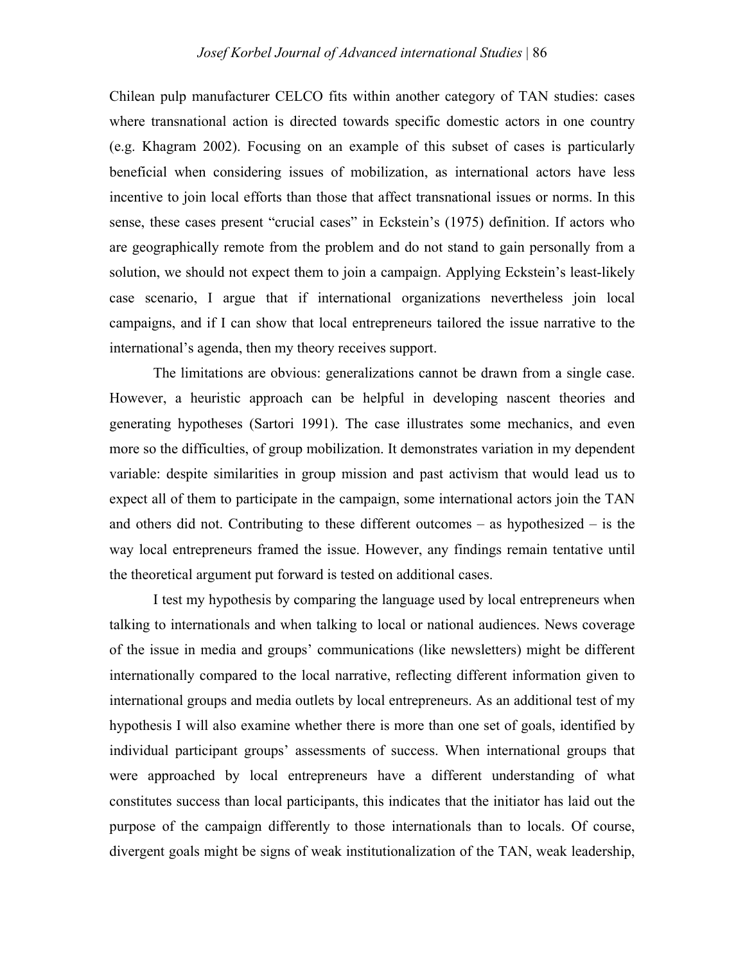Chilean pulp manufacturer CELCO fits within another category of TAN studies: cases where transnational action is directed towards specific domestic actors in one country (e.g. Khagram 2002). Focusing on an example of this subset of cases is particularly beneficial when considering issues of mobilization, as international actors have less incentive to join local efforts than those that affect transnational issues or norms. In this sense, these cases present "crucial cases" in Eckstein's (1975) definition. If actors who are geographically remote from the problem and do not stand to gain personally from a solution, we should not expect them to join a campaign. Applying Eckstein's least-likely case scenario, I argue that if international organizations nevertheless join local campaigns, and if I can show that local entrepreneurs tailored the issue narrative to the international's agenda, then my theory receives support.

The limitations are obvious: generalizations cannot be drawn from a single case. However, a heuristic approach can be helpful in developing nascent theories and generating hypotheses (Sartori 1991). The case illustrates some mechanics, and even more so the difficulties, of group mobilization. It demonstrates variation in my dependent variable: despite similarities in group mission and past activism that would lead us to expect all of them to participate in the campaign, some international actors join the TAN and others did not. Contributing to these different outcomes – as hypothesized – is the way local entrepreneurs framed the issue. However, any findings remain tentative until the theoretical argument put forward is tested on additional cases.

I test my hypothesis by comparing the language used by local entrepreneurs when talking to internationals and when talking to local or national audiences. News coverage of the issue in media and groups' communications (like newsletters) might be different internationally compared to the local narrative, reflecting different information given to international groups and media outlets by local entrepreneurs. As an additional test of my hypothesis I will also examine whether there is more than one set of goals, identified by individual participant groups' assessments of success. When international groups that were approached by local entrepreneurs have a different understanding of what constitutes success than local participants, this indicates that the initiator has laid out the purpose of the campaign differently to those internationals than to locals. Of course, divergent goals might be signs of weak institutionalization of the TAN, weak leadership,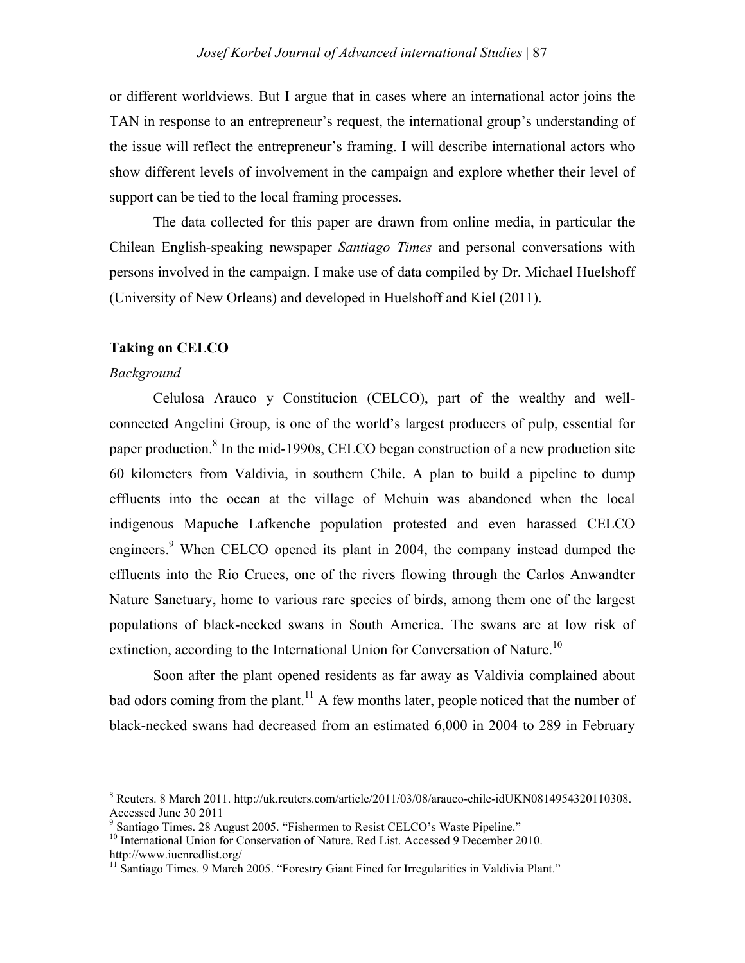or different worldviews. But I argue that in cases where an international actor joins the TAN in response to an entrepreneur's request, the international group's understanding of the issue will reflect the entrepreneur's framing. I will describe international actors who show different levels of involvement in the campaign and explore whether their level of support can be tied to the local framing processes.

The data collected for this paper are drawn from online media, in particular the Chilean English-speaking newspaper *Santiago Times* and personal conversations with persons involved in the campaign. I make use of data compiled by Dr. Michael Huelshoff (University of New Orleans) and developed in Huelshoff and Kiel (2011).

## **Taking on CELCO**

<u> 1989 - Johann Stein, fransk politik (d. 1989)</u>

#### *Background*

Celulosa Arauco y Constitucion (CELCO), part of the wealthy and wellconnected Angelini Group, is one of the world's largest producers of pulp, essential for paper production.<sup>8</sup> In the mid-1990s, CELCO began construction of a new production site 60 kilometers from Valdivia, in southern Chile. A plan to build a pipeline to dump effluents into the ocean at the village of Mehuin was abandoned when the local indigenous Mapuche Lafkenche population protested and even harassed CELCO engineers.<sup>9</sup> When CELCO opened its plant in 2004, the company instead dumped the effluents into the Rio Cruces, one of the rivers flowing through the Carlos Anwandter Nature Sanctuary, home to various rare species of birds, among them one of the largest populations of black-necked swans in South America. The swans are at low risk of extinction, according to the International Union for Conversation of Nature.<sup>10</sup>

Soon after the plant opened residents as far away as Valdivia complained about bad odors coming from the plant.<sup>11</sup> A few months later, people noticed that the number of black-necked swans had decreased from an estimated 6,000 in 2004 to 289 in February

<sup>8</sup> Reuters. 8 March 2011. http://uk.reuters.com/article/2011/03/08/arauco-chile-idUKN0814954320110308. Accessed June 30 2011

<sup>&</sup>lt;sup>9</sup> Santiago Times. 28 August 2005. "Fishermen to Resist CELCO's Waste Pipeline."

<sup>&</sup>lt;sup>10</sup> International Union for Conservation of Nature. Red List. Accessed 9 December 2010. http://www.iucnredlist.org/

<sup>&</sup>lt;sup>11</sup> Santiago Times. 9 March 2005. "Forestry Giant Fined for Irregularities in Valdivia Plant."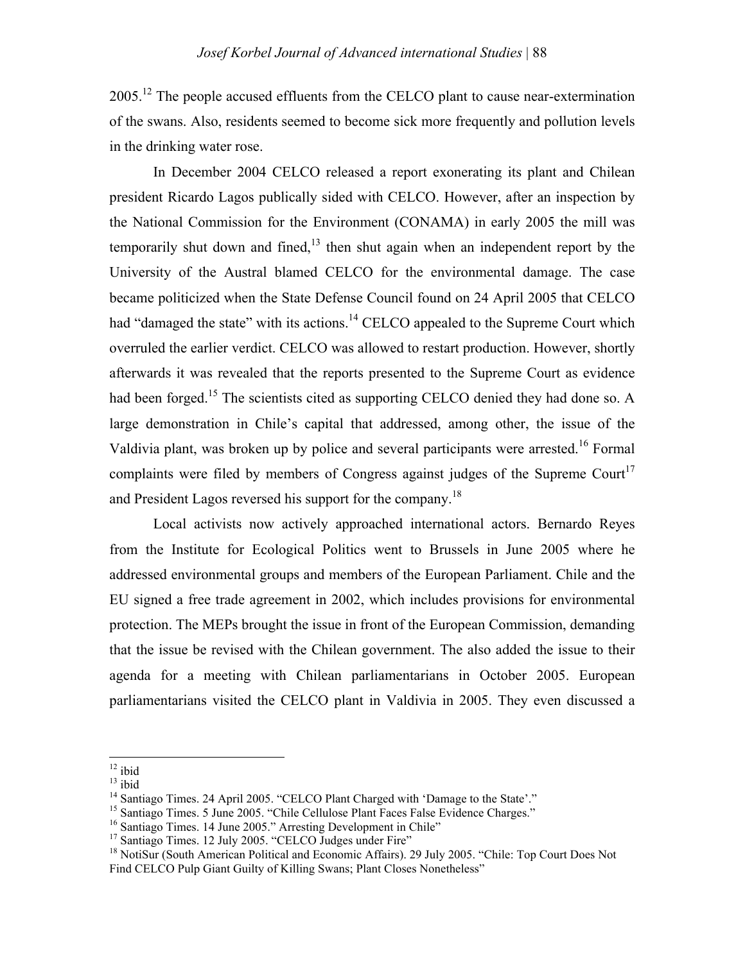2005.<sup>12</sup> The people accused effluents from the CELCO plant to cause near-extermination of the swans. Also, residents seemed to become sick more frequently and pollution levels in the drinking water rose.

In December 2004 CELCO released a report exonerating its plant and Chilean president Ricardo Lagos publically sided with CELCO. However, after an inspection by the National Commission for the Environment (CONAMA) in early 2005 the mill was temporarily shut down and fined, $^{13}$  then shut again when an independent report by the University of the Austral blamed CELCO for the environmental damage. The case became politicized when the State Defense Council found on 24 April 2005 that CELCO had "damaged the state" with its actions.<sup>14</sup> CELCO appealed to the Supreme Court which overruled the earlier verdict. CELCO was allowed to restart production. However, shortly afterwards it was revealed that the reports presented to the Supreme Court as evidence had been forged.<sup>15</sup> The scientists cited as supporting CELCO denied they had done so. A large demonstration in Chile's capital that addressed, among other, the issue of the Valdivia plant, was broken up by police and several participants were arrested.<sup>16</sup> Formal complaints were filed by members of Congress against judges of the Supreme Court<sup>17</sup> and President Lagos reversed his support for the company.<sup>18</sup>

Local activists now actively approached international actors. Bernardo Reyes from the Institute for Ecological Politics went to Brussels in June 2005 where he addressed environmental groups and members of the European Parliament. Chile and the EU signed a free trade agreement in 2002, which includes provisions for environmental protection. The MEPs brought the issue in front of the European Commission, demanding that the issue be revised with the Chilean government. The also added the issue to their agenda for a meeting with Chilean parliamentarians in October 2005. European parliamentarians visited the CELCO plant in Valdivia in 2005. They even discussed a

 $12$  ibid

<sup>&</sup>lt;sup>13</sup> ibid<br><sup>14</sup> Santiago Times. 24 April 2005. "CELCO Plant Charged with 'Damage to the State'."

<sup>&</sup>lt;sup>15</sup> Santiago Times. 5 June 2005. "Chile Cellulose Plant Faces False Evidence Charges."

 $16$  Santiago Times. 14 June 2005." Arresting Development in Chile"<br> $17$  Santiago Times. 12 July 2005. "CELCO Judges under Fire"

<sup>&</sup>lt;sup>18</sup> NotiSur (South American Political and Economic Affairs). 29 July 2005. "Chile: Top Court Does Not Find CELCO Pulp Giant Guilty of Killing Swans; Plant Closes Nonetheless"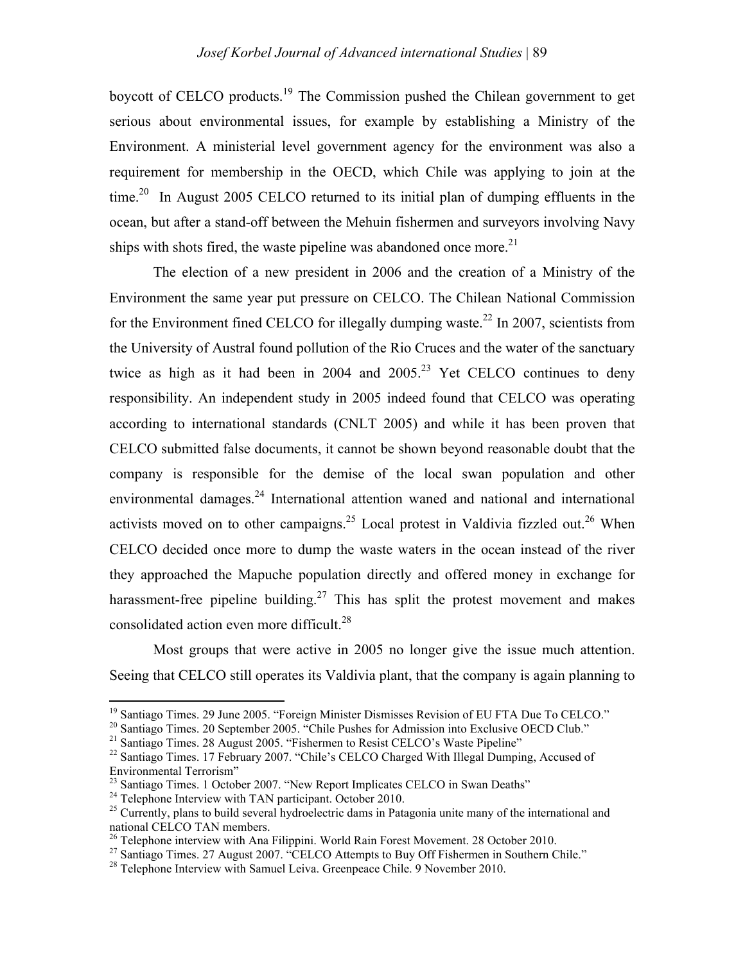boycott of CELCO products.<sup>19</sup> The Commission pushed the Chilean government to get serious about environmental issues, for example by establishing a Ministry of the Environment. A ministerial level government agency for the environment was also a requirement for membership in the OECD, which Chile was applying to join at the time.<sup>20</sup> In August 2005 CELCO returned to its initial plan of dumping effluents in the ocean, but after a stand-off between the Mehuin fishermen and surveyors involving Navy ships with shots fired, the waste pipeline was abandoned once more.<sup>21</sup>

The election of a new president in 2006 and the creation of a Ministry of the Environment the same year put pressure on CELCO. The Chilean National Commission for the Environment fined CELCO for illegally dumping waste.<sup>22</sup> In 2007, scientists from the University of Austral found pollution of the Rio Cruces and the water of the sanctuary twice as high as it had been in 2004 and  $2005.<sup>23</sup>$  Yet CELCO continues to deny responsibility. An independent study in 2005 indeed found that CELCO was operating according to international standards (CNLT 2005) and while it has been proven that CELCO submitted false documents, it cannot be shown beyond reasonable doubt that the company is responsible for the demise of the local swan population and other environmental damages.<sup>24</sup> International attention waned and national and international activists moved on to other campaigns.<sup>25</sup> Local protest in Valdivia fizzled out.<sup>26</sup> When CELCO decided once more to dump the waste waters in the ocean instead of the river they approached the Mapuche population directly and offered money in exchange for harassment-free pipeline building.<sup>27</sup> This has split the protest movement and makes consolidated action even more difficult. 28

Most groups that were active in 2005 no longer give the issue much attention. Seeing that CELCO still operates its Valdivia plant, that the company is again planning to

<sup>&</sup>lt;sup>19</sup> Santiago Times. 29 June 2005. "Foreign Minister Dismisses Revision of EU FTA Due To CELCO."<br><sup>20</sup> Santiago Times. 20 September 2005. "Chile Pushes for Admission into Exclusive OECD Club."

<sup>&</sup>lt;sup>21</sup> Santiago Times. 28 August 2005. "Fishermen to Resist CELCO's Waste Pipeline"

<sup>&</sup>lt;sup>22</sup> Santiago Times. 17 February 2007. "Chile's CELCO Charged With Illegal Dumping, Accused of Environmental Terrorism"

 $^{23}$  Santiago Times. 1 October 2007. "New Report Implicates CELCO in Swan Deaths"

<sup>&</sup>lt;sup>24</sup> Telephone Interview with TAN participant. October 2010.

<sup>&</sup>lt;sup>25</sup> Currently, plans to build several hydroelectric dams in Patagonia unite many of the international and national CELCO TAN members.

 $26$  Telephone interview with Ana Filippini. World Rain Forest Movement. 28 October 2010.

<sup>&</sup>lt;sup>27</sup> Santiago Times. 27 August 2007. "CELCO Attempts to Buy Off Fishermen in Southern Chile."<br><sup>28</sup> Telephone Interview with Samuel Leiva. Greenpeace Chile. 9 November 2010.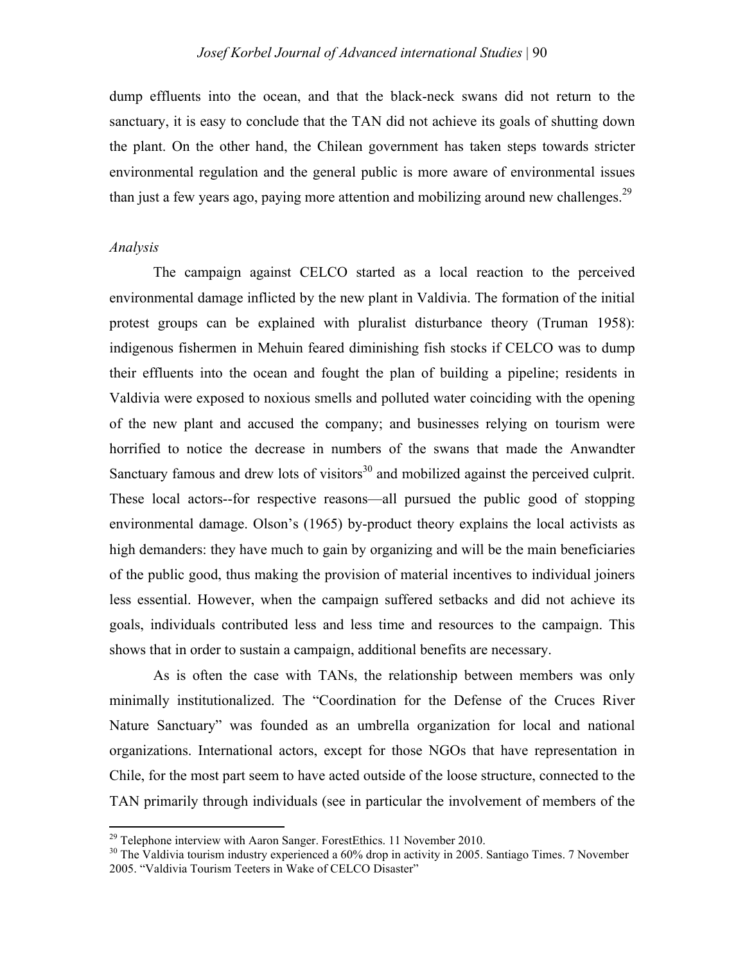dump effluents into the ocean, and that the black-neck swans did not return to the sanctuary, it is easy to conclude that the TAN did not achieve its goals of shutting down the plant. On the other hand, the Chilean government has taken steps towards stricter environmental regulation and the general public is more aware of environmental issues than just a few years ago, paying more attention and mobilizing around new challenges. $2^9$ 

### *Analysis*

The campaign against CELCO started as a local reaction to the perceived environmental damage inflicted by the new plant in Valdivia. The formation of the initial protest groups can be explained with pluralist disturbance theory (Truman 1958): indigenous fishermen in Mehuin feared diminishing fish stocks if CELCO was to dump their effluents into the ocean and fought the plan of building a pipeline; residents in Valdivia were exposed to noxious smells and polluted water coinciding with the opening of the new plant and accused the company; and businesses relying on tourism were horrified to notice the decrease in numbers of the swans that made the Anwandter Sanctuary famous and drew lots of visitors<sup>30</sup> and mobilized against the perceived culprit. These local actors--for respective reasons—all pursued the public good of stopping environmental damage. Olson's (1965) by-product theory explains the local activists as high demanders: they have much to gain by organizing and will be the main beneficiaries of the public good, thus making the provision of material incentives to individual joiners less essential. However, when the campaign suffered setbacks and did not achieve its goals, individuals contributed less and less time and resources to the campaign. This shows that in order to sustain a campaign, additional benefits are necessary.

As is often the case with TANs, the relationship between members was only minimally institutionalized. The "Coordination for the Defense of the Cruces River Nature Sanctuary" was founded as an umbrella organization for local and national organizations. International actors, except for those NGOs that have representation in Chile, for the most part seem to have acted outside of the loose structure, connected to the TAN primarily through individuals (see in particular the involvement of members of the

<sup>&</sup>lt;sup>29</sup> Telephone interview with Aaron Sanger. ForestEthics. 11 November 2010.

 $30$  The Valdivia tourism industry experienced a 60% drop in activity in 2005. Santiago Times. 7 November 2005. "Valdivia Tourism Teeters in Wake of CELCO Disaster"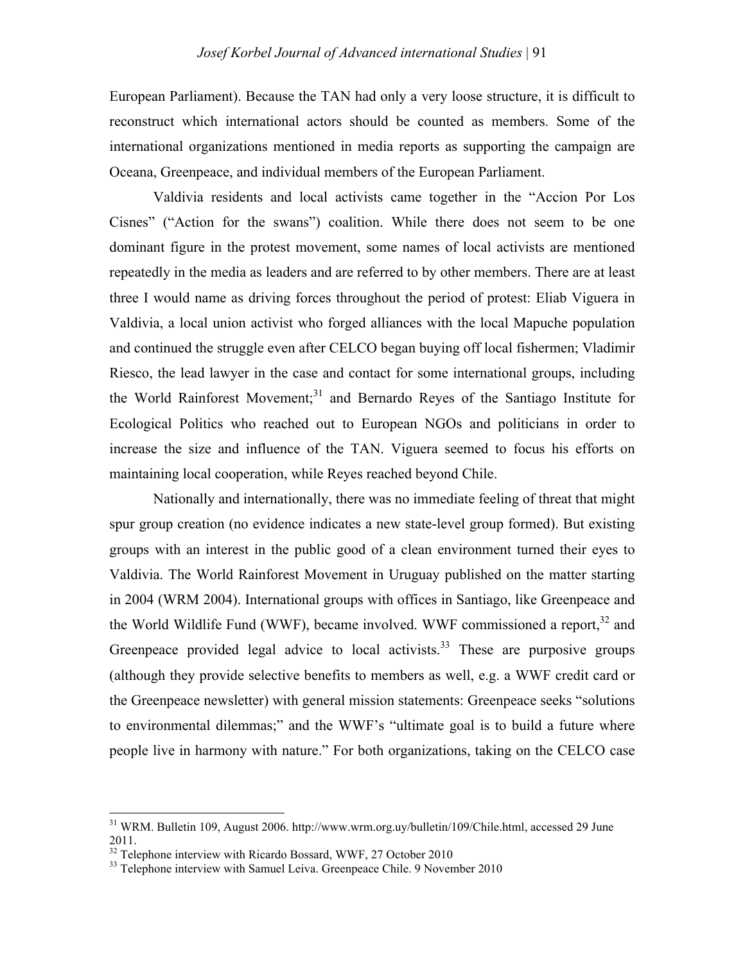European Parliament). Because the TAN had only a very loose structure, it is difficult to reconstruct which international actors should be counted as members. Some of the international organizations mentioned in media reports as supporting the campaign are Oceana, Greenpeace, and individual members of the European Parliament.

Valdivia residents and local activists came together in the "Accion Por Los Cisnes" ("Action for the swans") coalition. While there does not seem to be one dominant figure in the protest movement, some names of local activists are mentioned repeatedly in the media as leaders and are referred to by other members. There are at least three I would name as driving forces throughout the period of protest: Eliab Viguera in Valdivia, a local union activist who forged alliances with the local Mapuche population and continued the struggle even after CELCO began buying off local fishermen; Vladimir Riesco, the lead lawyer in the case and contact for some international groups, including the World Rainforest Movement;<sup>31</sup> and Bernardo Reyes of the Santiago Institute for Ecological Politics who reached out to European NGOs and politicians in order to increase the size and influence of the TAN. Viguera seemed to focus his efforts on maintaining local cooperation, while Reyes reached beyond Chile.

Nationally and internationally, there was no immediate feeling of threat that might spur group creation (no evidence indicates a new state-level group formed). But existing groups with an interest in the public good of a clean environment turned their eyes to Valdivia. The World Rainforest Movement in Uruguay published on the matter starting in 2004 (WRM 2004). International groups with offices in Santiago, like Greenpeace and the World Wildlife Fund (WWF), became involved. WWF commissioned a report,<sup>32</sup> and Greenpeace provided legal advice to local activists.<sup>33</sup> These are purposive groups (although they provide selective benefits to members as well, e.g. a WWF credit card or the Greenpeace newsletter) with general mission statements: Greenpeace seeks "solutions to environmental dilemmas;" and the WWF's "ultimate goal is to build a future where people live in harmony with nature." For both organizations, taking on the CELCO case

<sup>&</sup>lt;sup>31</sup> WRM. Bulletin 109, August 2006. http://www.wrm.org.uy/bulletin/109/Chile.html, accessed 29 June 2011.<br><sup>32</sup> Telephone interview with Ricardo Bossard, WWF, 27 October 2010

<sup>&</sup>lt;sup>33</sup> Telephone interview with Samuel Leiva. Greenpeace Chile. 9 November 2010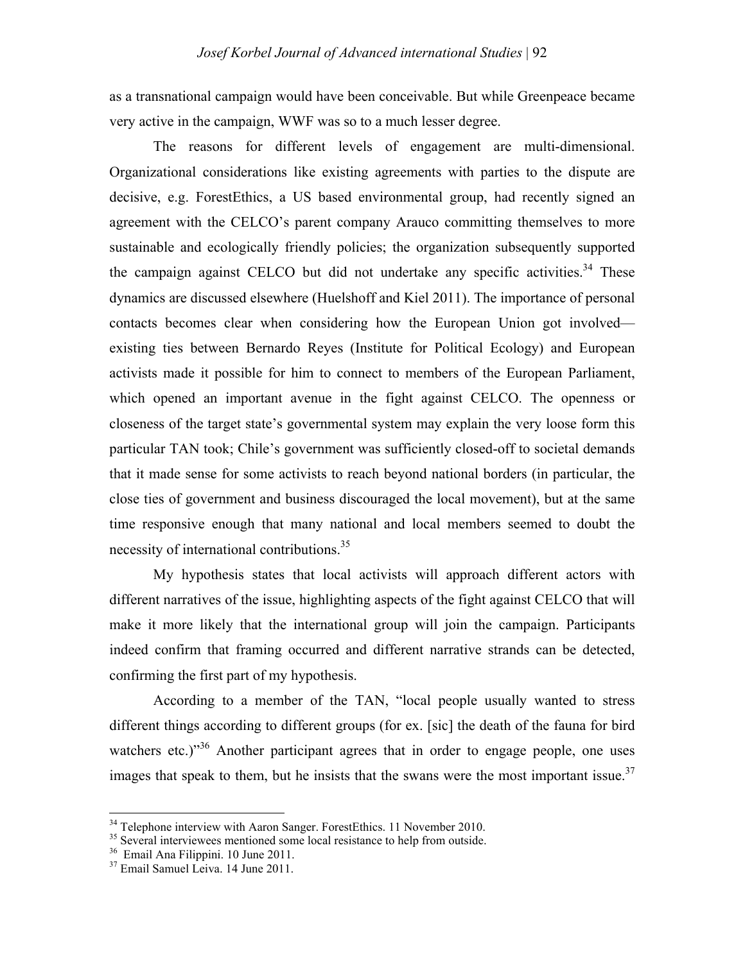as a transnational campaign would have been conceivable. But while Greenpeace became very active in the campaign, WWF was so to a much lesser degree.

The reasons for different levels of engagement are multi-dimensional. Organizational considerations like existing agreements with parties to the dispute are decisive, e.g. ForestEthics, a US based environmental group, had recently signed an agreement with the CELCO's parent company Arauco committing themselves to more sustainable and ecologically friendly policies; the organization subsequently supported the campaign against CELCO but did not undertake any specific activities.<sup>34</sup> These dynamics are discussed elsewhere (Huelshoff and Kiel 2011). The importance of personal contacts becomes clear when considering how the European Union got involved existing ties between Bernardo Reyes (Institute for Political Ecology) and European activists made it possible for him to connect to members of the European Parliament, which opened an important avenue in the fight against CELCO. The openness or closeness of the target state's governmental system may explain the very loose form this particular TAN took; Chile's government was sufficiently closed-off to societal demands that it made sense for some activists to reach beyond national borders (in particular, the close ties of government and business discouraged the local movement), but at the same time responsive enough that many national and local members seemed to doubt the necessity of international contributions.<sup>35</sup>

My hypothesis states that local activists will approach different actors with different narratives of the issue, highlighting aspects of the fight against CELCO that will make it more likely that the international group will join the campaign. Participants indeed confirm that framing occurred and different narrative strands can be detected, confirming the first part of my hypothesis.

According to a member of the TAN, "local people usually wanted to stress different things according to different groups (for ex. [sic] the death of the fauna for bird watchers etc.)<sup>36</sup> Another participant agrees that in order to engage people, one uses images that speak to them, but he insists that the swans were the most important issue.<sup>37</sup>

<sup>&</sup>lt;sup>34</sup> Telephone interview with Aaron Sanger. ForestEthics. 11 November 2010.

<sup>&</sup>lt;sup>35</sup> Several interviewees mentioned some local resistance to help from outside.

<sup>36</sup> Email Ana Filippini. 10 June 2011.

<sup>&</sup>lt;sup>37</sup> Email Samuel Leiva. 14 June 2011.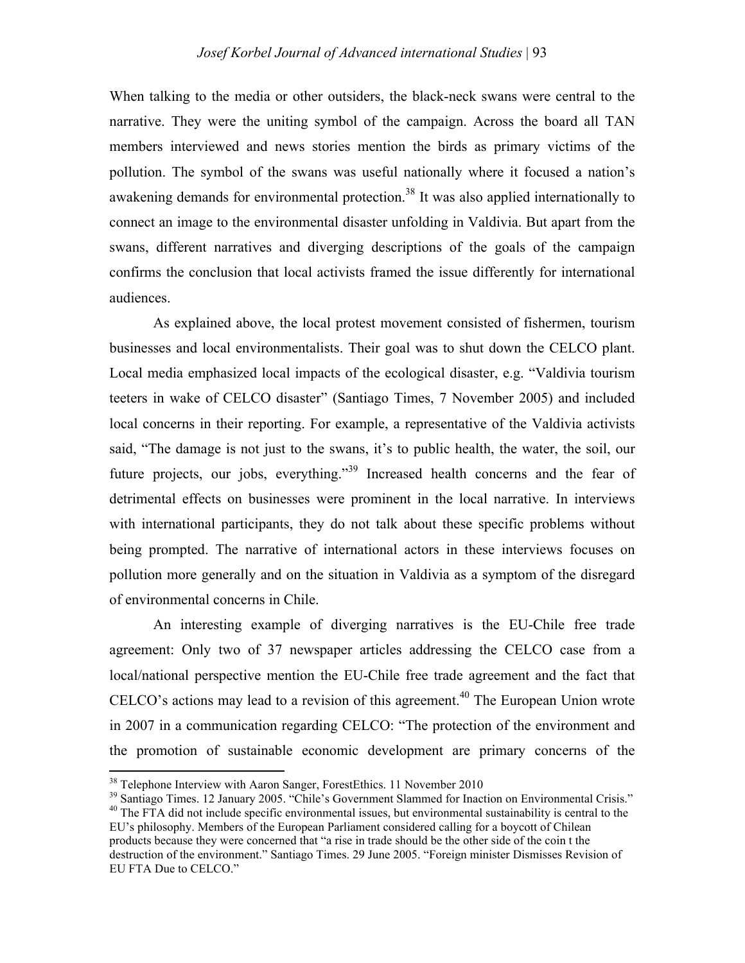When talking to the media or other outsiders, the black-neck swans were central to the narrative. They were the uniting symbol of the campaign. Across the board all TAN members interviewed and news stories mention the birds as primary victims of the pollution. The symbol of the swans was useful nationally where it focused a nation's awakening demands for environmental protection.<sup>38</sup> It was also applied internationally to connect an image to the environmental disaster unfolding in Valdivia. But apart from the swans, different narratives and diverging descriptions of the goals of the campaign confirms the conclusion that local activists framed the issue differently for international audiences.

As explained above, the local protest movement consisted of fishermen, tourism businesses and local environmentalists. Their goal was to shut down the CELCO plant. Local media emphasized local impacts of the ecological disaster, e.g. "Valdivia tourism teeters in wake of CELCO disaster" (Santiago Times, 7 November 2005) and included local concerns in their reporting. For example, a representative of the Valdivia activists said, "The damage is not just to the swans, it's to public health, the water, the soil, our future projects, our jobs, everything."<sup>39</sup> Increased health concerns and the fear of detrimental effects on businesses were prominent in the local narrative. In interviews with international participants, they do not talk about these specific problems without being prompted. The narrative of international actors in these interviews focuses on pollution more generally and on the situation in Valdivia as a symptom of the disregard of environmental concerns in Chile.

An interesting example of diverging narratives is the EU-Chile free trade agreement: Only two of 37 newspaper articles addressing the CELCO case from a local/national perspective mention the EU-Chile free trade agreement and the fact that CELCO's actions may lead to a revision of this agreement. 40 The European Union wrote in 2007 in a communication regarding CELCO: "The protection of the environment and the promotion of sustainable economic development are primary concerns of the

<sup>&</sup>lt;sup>38</sup> Telephone Interview with Aaron Sanger, ForestEthics. 11 November 2010

<sup>&</sup>lt;sup>39</sup> Santiago Times. 12 January 2005. "Chile's Government Slammed for Inaction on Environmental Crisis." <sup>40</sup> The FTA did not include specific environmental issues, but environmental sustainability is central to the EU's philosophy. Members of the European Parliament considered calling for a boycott of Chilean products because they were concerned that "a rise in trade should be the other side of the coin t the destruction of the environment." Santiago Times. 29 June 2005. "Foreign minister Dismisses Revision of EU FTA Due to CELCO."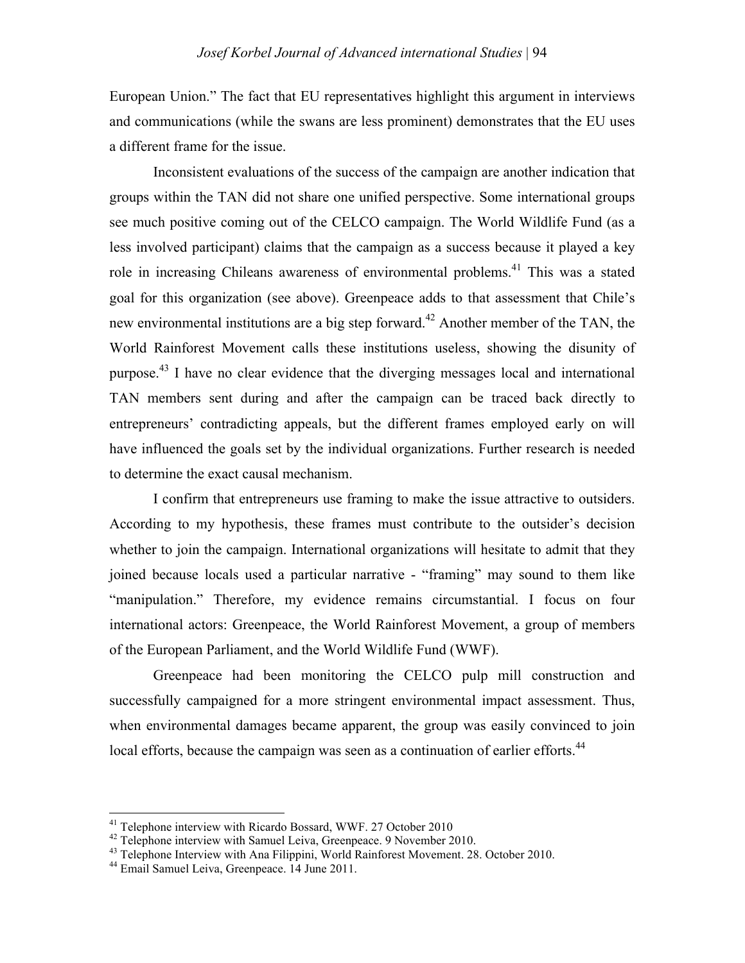European Union." The fact that EU representatives highlight this argument in interviews and communications (while the swans are less prominent) demonstrates that the EU uses a different frame for the issue.

Inconsistent evaluations of the success of the campaign are another indication that groups within the TAN did not share one unified perspective. Some international groups see much positive coming out of the CELCO campaign. The World Wildlife Fund (as a less involved participant) claims that the campaign as a success because it played a key role in increasing Chileans awareness of environmental problems.<sup>41</sup> This was a stated goal for this organization (see above). Greenpeace adds to that assessment that Chile's new environmental institutions are a big step forward.<sup>42</sup> Another member of the TAN, the World Rainforest Movement calls these institutions useless, showing the disunity of purpose.<sup>43</sup> I have no clear evidence that the diverging messages local and international TAN members sent during and after the campaign can be traced back directly to entrepreneurs' contradicting appeals, but the different frames employed early on will have influenced the goals set by the individual organizations. Further research is needed to determine the exact causal mechanism.

I confirm that entrepreneurs use framing to make the issue attractive to outsiders. According to my hypothesis, these frames must contribute to the outsider's decision whether to join the campaign. International organizations will hesitate to admit that they joined because locals used a particular narrative - "framing" may sound to them like "manipulation." Therefore, my evidence remains circumstantial. I focus on four international actors: Greenpeace, the World Rainforest Movement, a group of members of the European Parliament, and the World Wildlife Fund (WWF).

Greenpeace had been monitoring the CELCO pulp mill construction and successfully campaigned for a more stringent environmental impact assessment. Thus, when environmental damages became apparent, the group was easily convinced to join local efforts, because the campaign was seen as a continuation of earlier efforts.<sup>44</sup>

<sup>&</sup>lt;sup>41</sup> Telephone interview with Ricardo Bossard, WWF. 27 October 2010<br><sup>42</sup> Telephone interview with Samuel Leiva, Greenpeace. 9 November 2010.

 $43$  Telephone Interview with Ana Filippini, World Rainforest Movement. 28. October 2010.

<sup>44</sup> Email Samuel Leiva, Greenpeace. 14 June 2011.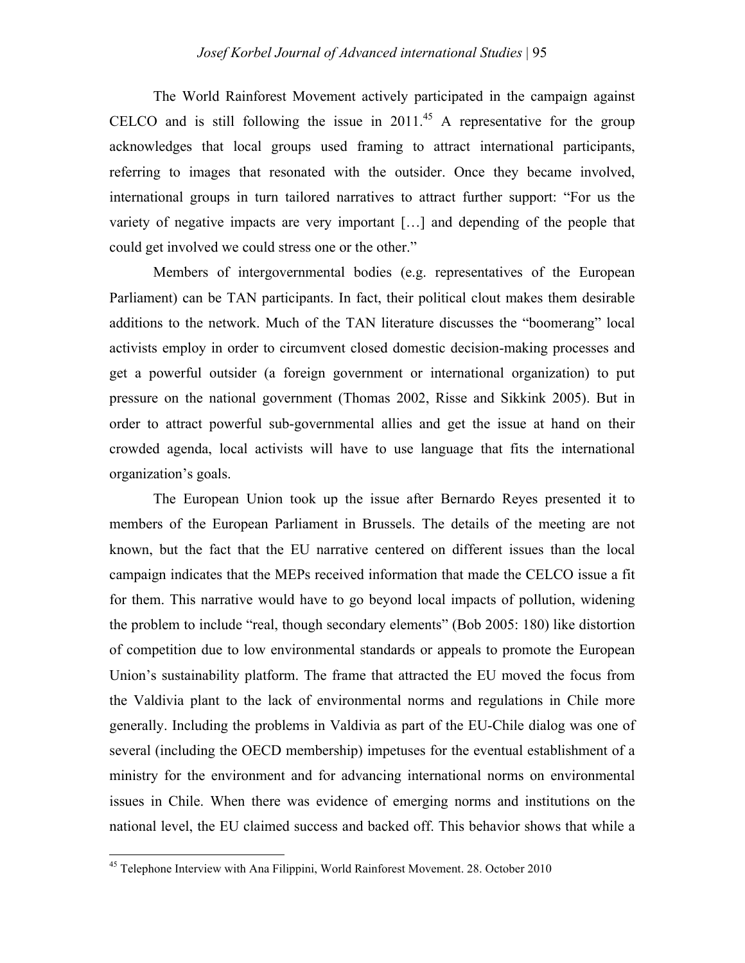The World Rainforest Movement actively participated in the campaign against CELCO and is still following the issue in  $2011<sup>45</sup>$  A representative for the group acknowledges that local groups used framing to attract international participants, referring to images that resonated with the outsider. Once they became involved, international groups in turn tailored narratives to attract further support: "For us the variety of negative impacts are very important […] and depending of the people that could get involved we could stress one or the other."

Members of intergovernmental bodies (e.g. representatives of the European Parliament) can be TAN participants. In fact, their political clout makes them desirable additions to the network. Much of the TAN literature discusses the "boomerang" local activists employ in order to circumvent closed domestic decision-making processes and get a powerful outsider (a foreign government or international organization) to put pressure on the national government (Thomas 2002, Risse and Sikkink 2005). But in order to attract powerful sub-governmental allies and get the issue at hand on their crowded agenda, local activists will have to use language that fits the international organization's goals.

The European Union took up the issue after Bernardo Reyes presented it to members of the European Parliament in Brussels. The details of the meeting are not known, but the fact that the EU narrative centered on different issues than the local campaign indicates that the MEPs received information that made the CELCO issue a fit for them. This narrative would have to go beyond local impacts of pollution, widening the problem to include "real, though secondary elements" (Bob 2005: 180) like distortion of competition due to low environmental standards or appeals to promote the European Union's sustainability platform. The frame that attracted the EU moved the focus from the Valdivia plant to the lack of environmental norms and regulations in Chile more generally. Including the problems in Valdivia as part of the EU-Chile dialog was one of several (including the OECD membership) impetuses for the eventual establishment of a ministry for the environment and for advancing international norms on environmental issues in Chile. When there was evidence of emerging norms and institutions on the national level, the EU claimed success and backed off. This behavior shows that while a

<sup>45</sup> Telephone Interview with Ana Filippini, World Rainforest Movement. 28. October 2010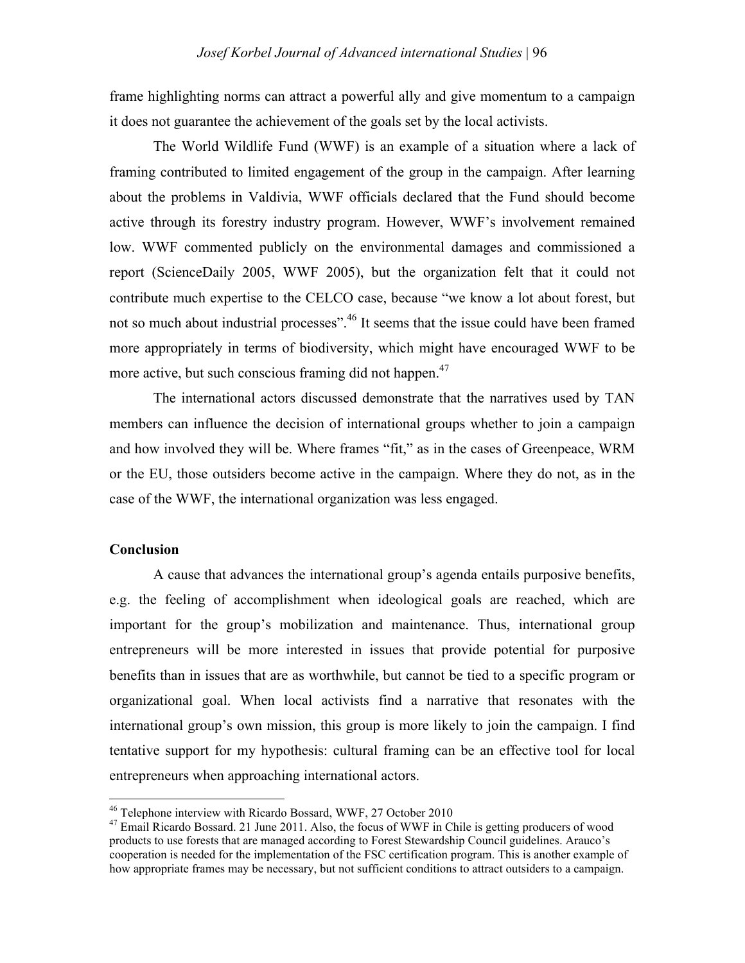frame highlighting norms can attract a powerful ally and give momentum to a campaign it does not guarantee the achievement of the goals set by the local activists.

The World Wildlife Fund (WWF) is an example of a situation where a lack of framing contributed to limited engagement of the group in the campaign. After learning about the problems in Valdivia, WWF officials declared that the Fund should become active through its forestry industry program. However, WWF's involvement remained low. WWF commented publicly on the environmental damages and commissioned a report (ScienceDaily 2005, WWF 2005), but the organization felt that it could not contribute much expertise to the CELCO case, because "we know a lot about forest, but not so much about industrial processes".<sup>46</sup> It seems that the issue could have been framed more appropriately in terms of biodiversity, which might have encouraged WWF to be more active, but such conscious framing did not happen.<sup>47</sup>

The international actors discussed demonstrate that the narratives used by TAN members can influence the decision of international groups whether to join a campaign and how involved they will be. Where frames "fit," as in the cases of Greenpeace, WRM or the EU, those outsiders become active in the campaign. Where they do not, as in the case of the WWF, the international organization was less engaged.

# **Conclusion**

A cause that advances the international group's agenda entails purposive benefits, e.g. the feeling of accomplishment when ideological goals are reached, which are important for the group's mobilization and maintenance. Thus, international group entrepreneurs will be more interested in issues that provide potential for purposive benefits than in issues that are as worthwhile, but cannot be tied to a specific program or organizational goal. When local activists find a narrative that resonates with the international group's own mission, this group is more likely to join the campaign. I find tentative support for my hypothesis: cultural framing can be an effective tool for local entrepreneurs when approaching international actors.

<sup>&</sup>lt;sup>46</sup> Telephone interview with Ricardo Bossard, WWF, 27 October 2010

<sup>&</sup>lt;sup>47</sup> Email Ricardo Bossard. 21 June 2011. Also, the focus of WWF in Chile is getting producers of wood products to use forests that are managed according to Forest Stewardship Council guidelines. Arauco's cooperation is needed for the implementation of the FSC certification program. This is another example of how appropriate frames may be necessary, but not sufficient conditions to attract outsiders to a campaign.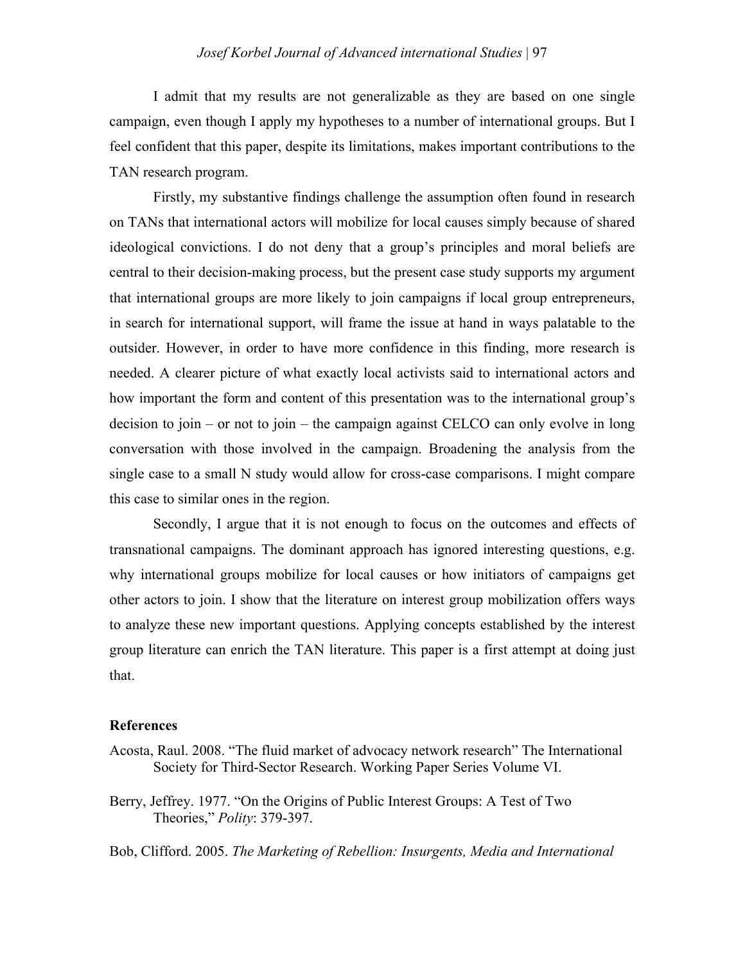I admit that my results are not generalizable as they are based on one single campaign, even though I apply my hypotheses to a number of international groups. But I feel confident that this paper, despite its limitations, makes important contributions to the TAN research program.

Firstly, my substantive findings challenge the assumption often found in research on TANs that international actors will mobilize for local causes simply because of shared ideological convictions. I do not deny that a group's principles and moral beliefs are central to their decision-making process, but the present case study supports my argument that international groups are more likely to join campaigns if local group entrepreneurs, in search for international support, will frame the issue at hand in ways palatable to the outsider. However, in order to have more confidence in this finding, more research is needed. A clearer picture of what exactly local activists said to international actors and how important the form and content of this presentation was to the international group's decision to join – or not to join – the campaign against CELCO can only evolve in long conversation with those involved in the campaign. Broadening the analysis from the single case to a small N study would allow for cross-case comparisons. I might compare this case to similar ones in the region.

Secondly, I argue that it is not enough to focus on the outcomes and effects of transnational campaigns. The dominant approach has ignored interesting questions, e.g. why international groups mobilize for local causes or how initiators of campaigns get other actors to join. I show that the literature on interest group mobilization offers ways to analyze these new important questions. Applying concepts established by the interest group literature can enrich the TAN literature. This paper is a first attempt at doing just that.

#### **References**

- Acosta, Raul. 2008. "The fluid market of advocacy network research" The International Society for Third-Sector Research. Working Paper Series Volume VI.
- Berry, Jeffrey. 1977. "On the Origins of Public Interest Groups: A Test of Two Theories," *Polity*: 379-397.

Bob, Clifford. 2005. *The Marketing of Rebellion: Insurgents, Media and International*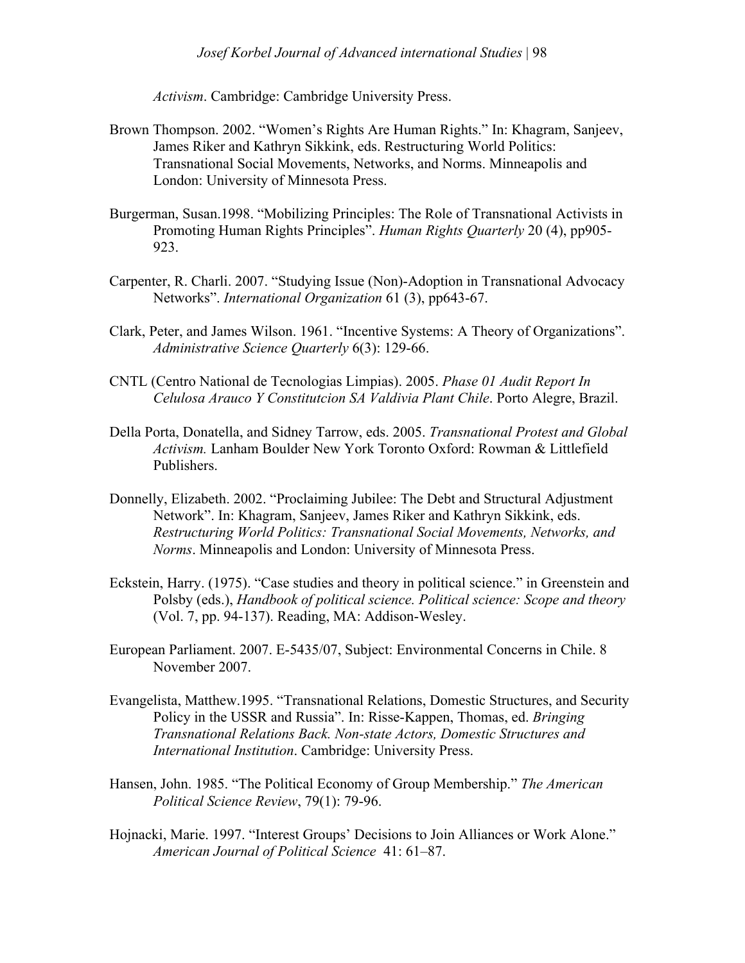*Activism*. Cambridge: Cambridge University Press.

- Brown Thompson. 2002. "Women's Rights Are Human Rights." In: Khagram, Sanjeev, James Riker and Kathryn Sikkink, eds. Restructuring World Politics: Transnational Social Movements, Networks, and Norms. Minneapolis and London: University of Minnesota Press.
- Burgerman, Susan.1998. "Mobilizing Principles: The Role of Transnational Activists in Promoting Human Rights Principles". *Human Rights Quarterly* 20 (4), pp905- 923.
- Carpenter, R. Charli. 2007. "Studying Issue (Non)-Adoption in Transnational Advocacy Networks". *International Organization* 61 (3), pp643-67.
- Clark, Peter, and James Wilson. 1961. "Incentive Systems: A Theory of Organizations". *Administrative Science Quarterly* 6(3): 129-66.
- CNTL (Centro National de Tecnologias Limpias). 2005. *Phase 01 Audit Report In Celulosa Arauco Y Constitutcion SA Valdivia Plant Chile*. Porto Alegre, Brazil.
- Della Porta, Donatella, and Sidney Tarrow, eds. 2005. *Transnational Protest and Global Activism.* Lanham Boulder New York Toronto Oxford: Rowman & Littlefield Publishers.
- Donnelly, Elizabeth. 2002. "Proclaiming Jubilee: The Debt and Structural Adjustment Network". In: Khagram, Sanjeev, James Riker and Kathryn Sikkink, eds. *Restructuring World Politics: Transnational Social Movements, Networks, and Norms*. Minneapolis and London: University of Minnesota Press.
- Eckstein, Harry. (1975). "Case studies and theory in political science." in Greenstein and Polsby (eds.), *Handbook of political science. Political science: Scope and theory* (Vol. 7, pp. 94-137). Reading, MA: Addison-Wesley.
- European Parliament. 2007. E-5435/07, Subject: Environmental Concerns in Chile. 8 November 2007.
- Evangelista, Matthew.1995. "Transnational Relations, Domestic Structures, and Security Policy in the USSR and Russia". In: Risse-Kappen, Thomas, ed. *Bringing Transnational Relations Back. Non-state Actors, Domestic Structures and International Institution*. Cambridge: University Press.
- Hansen, John. 1985. "The Political Economy of Group Membership." *The American Political Science Review*, 79(1): 79-96.
- Hojnacki, Marie. 1997. "Interest Groups' Decisions to Join Alliances or Work Alone." *American Journal of Political Science* 41: 61–87.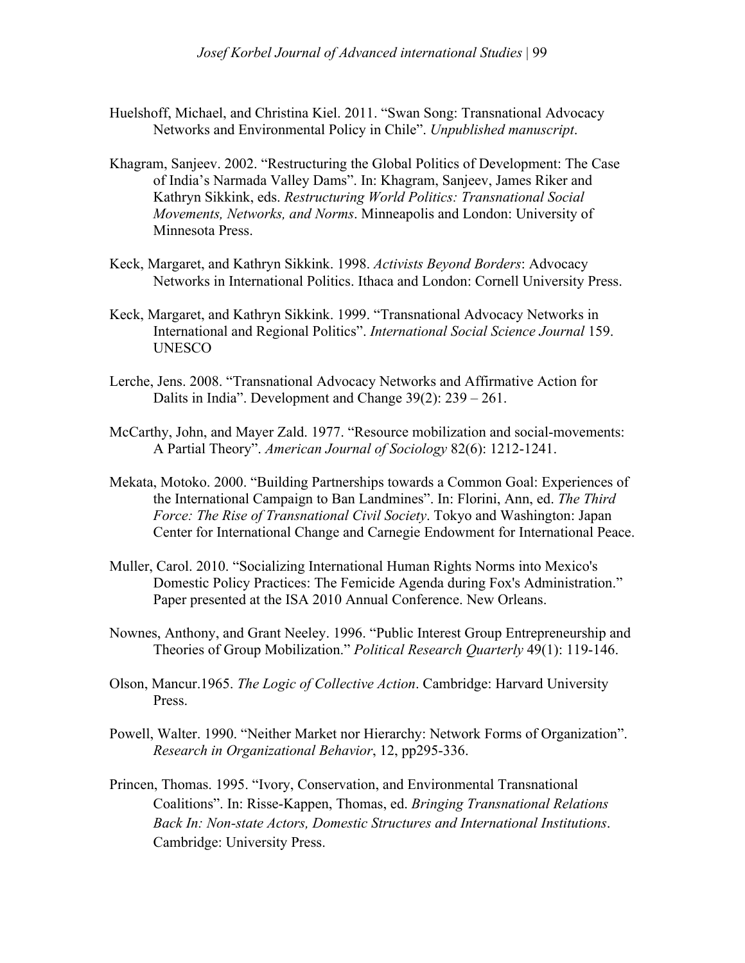- Huelshoff, Michael, and Christina Kiel. 2011. "Swan Song: Transnational Advocacy Networks and Environmental Policy in Chile". *Unpublished manuscript*.
- Khagram, Sanjeev. 2002. "Restructuring the Global Politics of Development: The Case of India's Narmada Valley Dams". In: Khagram, Sanjeev, James Riker and Kathryn Sikkink, eds. *Restructuring World Politics: Transnational Social Movements, Networks, and Norms*. Minneapolis and London: University of Minnesota Press.
- Keck, Margaret, and Kathryn Sikkink. 1998. *Activists Beyond Borders*: Advocacy Networks in International Politics. Ithaca and London: Cornell University Press.
- Keck, Margaret, and Kathryn Sikkink. 1999. "Transnational Advocacy Networks in International and Regional Politics". *International Social Science Journal* 159. UNESCO
- Lerche, Jens. 2008. "Transnational Advocacy Networks and Affirmative Action for Dalits in India". Development and Change 39(2): 239 – 261.
- McCarthy, John, and Mayer Zald. 1977. "Resource mobilization and social-movements: A Partial Theory". *American Journal of Sociology* 82(6): 1212-1241.
- Mekata, Motoko. 2000. "Building Partnerships towards a Common Goal: Experiences of the International Campaign to Ban Landmines". In: Florini, Ann, ed. *The Third Force: The Rise of Transnational Civil Society*. Tokyo and Washington: Japan Center for International Change and Carnegie Endowment for International Peace.
- Muller, Carol. 2010. "Socializing International Human Rights Norms into Mexico's Domestic Policy Practices: The Femicide Agenda during Fox's Administration." Paper presented at the ISA 2010 Annual Conference. New Orleans.
- Nownes, Anthony, and Grant Neeley. 1996. "Public Interest Group Entrepreneurship and Theories of Group Mobilization." *Political Research Quarterly* 49(1): 119-146.
- Olson, Mancur.1965. *The Logic of Collective Action*. Cambridge: Harvard University Press.
- Powell, Walter. 1990. "Neither Market nor Hierarchy: Network Forms of Organization". *Research in Organizational Behavior*, 12, pp295-336.
- Princen, Thomas. 1995. "Ivory, Conservation, and Environmental Transnational Coalitions". In: Risse-Kappen, Thomas, ed. *Bringing Transnational Relations Back In: Non-state Actors, Domestic Structures and International Institutions*. Cambridge: University Press.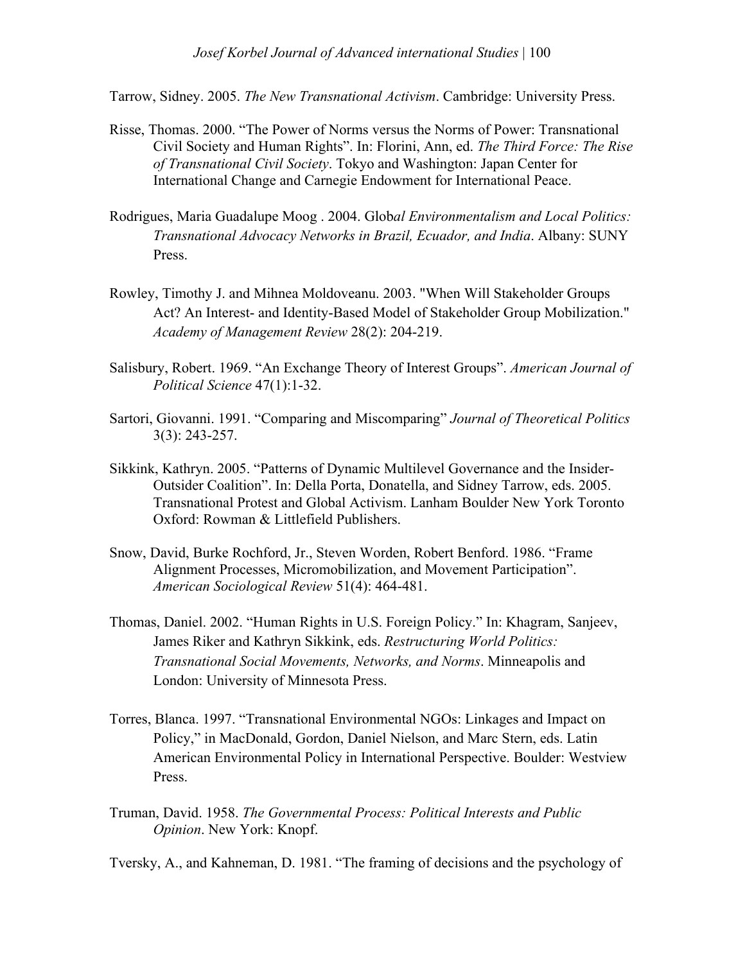Tarrow, Sidney. 2005. *The New Transnational Activism*. Cambridge: University Press.

- Risse, Thomas. 2000. "The Power of Norms versus the Norms of Power: Transnational Civil Society and Human Rights". In: Florini, Ann, ed. *The Third Force: The Rise of Transnational Civil Society*. Tokyo and Washington: Japan Center for International Change and Carnegie Endowment for International Peace.
- Rodrigues, Maria Guadalupe Moog . 2004. Glob*al Environmentalism and Local Politics: Transnational Advocacy Networks in Brazil, Ecuador, and India*. Albany: SUNY Press.
- Rowley, Timothy J. and Mihnea Moldoveanu. 2003. "When Will Stakeholder Groups Act? An Interest- and Identity-Based Model of Stakeholder Group Mobilization." *Academy of Management Review* 28(2): 204-219.
- Salisbury, Robert. 1969. "An Exchange Theory of Interest Groups". *American Journal of Political Science* 47(1):1-32.
- Sartori, Giovanni. 1991. "Comparing and Miscomparing" *Journal of Theoretical Politics* 3(3): 243-257.
- Sikkink, Kathryn. 2005. "Patterns of Dynamic Multilevel Governance and the Insider-Outsider Coalition". In: Della Porta, Donatella, and Sidney Tarrow, eds. 2005. Transnational Protest and Global Activism. Lanham Boulder New York Toronto Oxford: Rowman & Littlefield Publishers.
- Snow, David, Burke Rochford, Jr., Steven Worden, Robert Benford. 1986. "Frame Alignment Processes, Micromobilization, and Movement Participation". *American Sociological Review* 51(4): 464-481.
- Thomas, Daniel. 2002. "Human Rights in U.S. Foreign Policy." In: Khagram, Sanjeev, James Riker and Kathryn Sikkink, eds. *Restructuring World Politics: Transnational Social Movements, Networks, and Norms*. Minneapolis and London: University of Minnesota Press.
- Torres, Blanca. 1997. "Transnational Environmental NGOs: Linkages and Impact on Policy," in MacDonald, Gordon, Daniel Nielson, and Marc Stern, eds. Latin American Environmental Policy in International Perspective. Boulder: Westview Press.
- Truman, David. 1958. *The Governmental Process: Political Interests and Public Opinion*. New York: Knopf.

Tversky, A., and Kahneman, D. 1981. "The framing of decisions and the psychology of